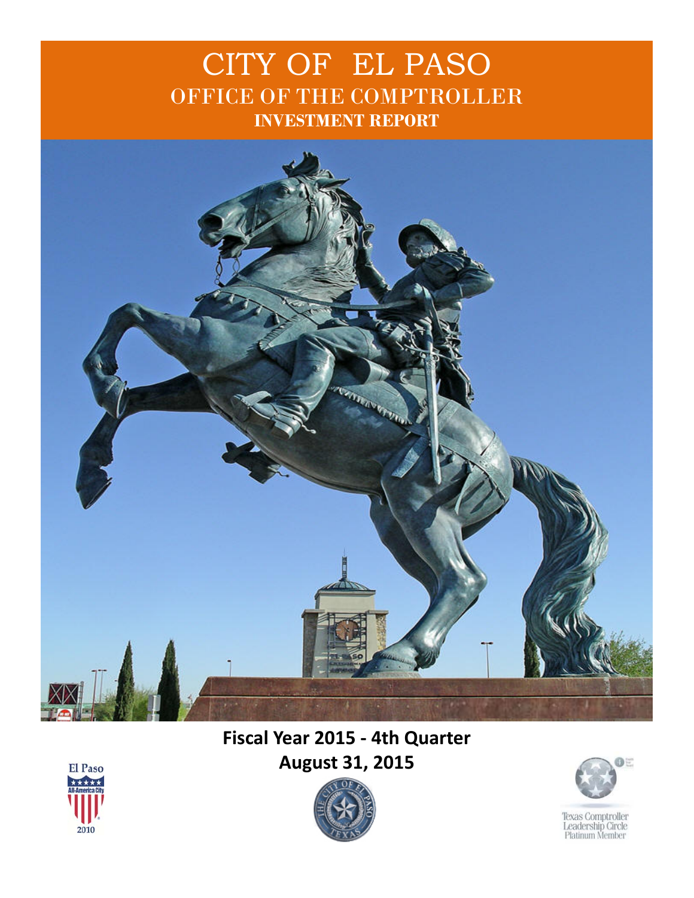### CITY OF EL PASO OFFICE OF THE COMPTROLLER **INVESTMENT REPORT**



### **Fiscal Year 2015 - 4th Quarter August 31, 2015**





Texas Comptroller<br>Leadership Circle<br>Platinum Member

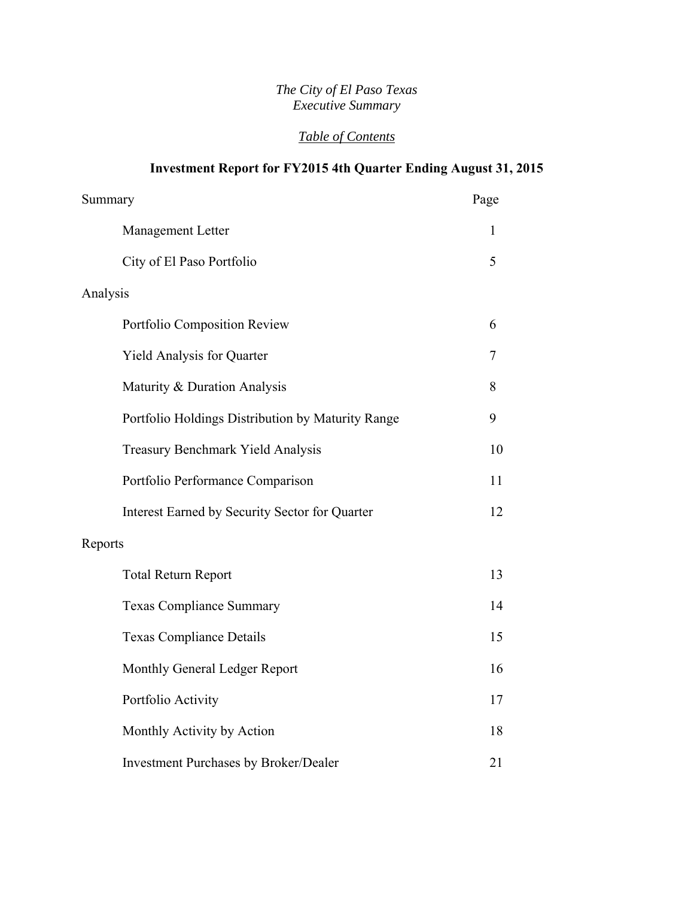#### *The City of El Paso Texas Executive Summary*

#### *Table of Contents*

#### **Investment Report for FY2015 4th Quarter Ending August 31, 2015**

| Summary                                           | Page |
|---------------------------------------------------|------|
| Management Letter                                 | 1    |
| City of El Paso Portfolio                         | 5    |
| Analysis                                          |      |
| Portfolio Composition Review                      | 6    |
| <b>Yield Analysis for Quarter</b>                 | 7    |
| Maturity & Duration Analysis                      | 8    |
| Portfolio Holdings Distribution by Maturity Range | 9    |
| <b>Treasury Benchmark Yield Analysis</b>          | 10   |
| Portfolio Performance Comparison                  | 11   |
| Interest Earned by Security Sector for Quarter    | 12   |
| Reports                                           |      |
| <b>Total Return Report</b>                        | 13   |
| <b>Texas Compliance Summary</b>                   | 14   |
| <b>Texas Compliance Details</b>                   | 15   |
| Monthly General Ledger Report                     | 16   |
| Portfolio Activity                                | 17   |
| Monthly Activity by Action                        | 18   |
| <b>Investment Purchases by Broker/Dealer</b>      | 21   |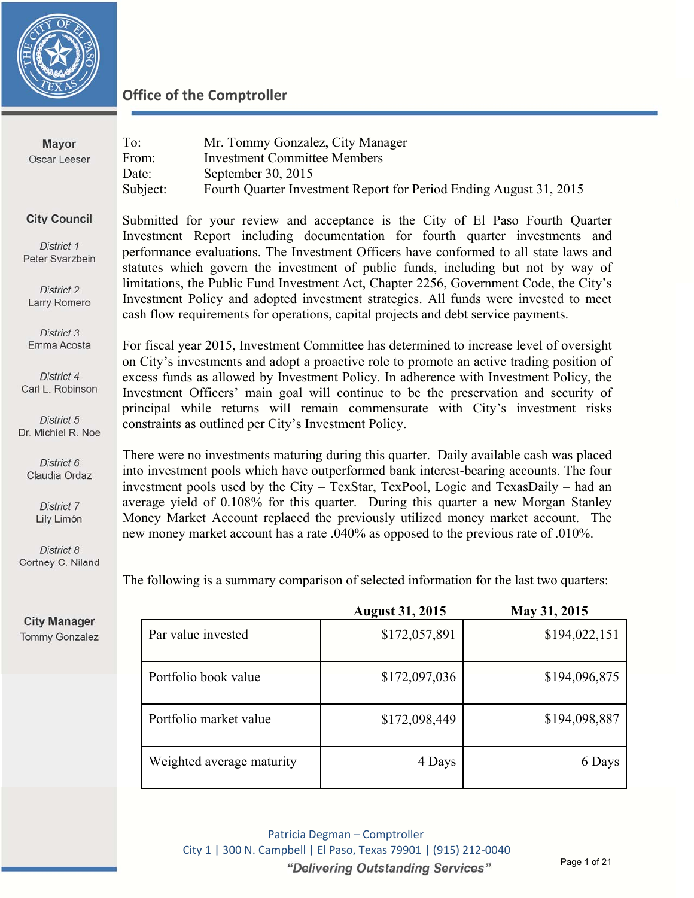

| Mayor<br>Oscar Leeser                                                                           | To:<br>From:<br>Date:<br>Subject: | Mr. Tommy Gonzalez, City Manager<br><b>Investment Committee Members</b><br>September 30, 2015 | Fourth Quarter Investment Report for Period Ending August 31, 2015                  |                                                                                                                                                                                                                                                                                                                                                                                                                                                                                                                                |
|-------------------------------------------------------------------------------------------------|-----------------------------------|-----------------------------------------------------------------------------------------------|-------------------------------------------------------------------------------------|--------------------------------------------------------------------------------------------------------------------------------------------------------------------------------------------------------------------------------------------------------------------------------------------------------------------------------------------------------------------------------------------------------------------------------------------------------------------------------------------------------------------------------|
| <b>City Council</b><br>District 1<br>Peter Svarzbein<br>District 2<br>Larry Romero              |                                   |                                                                                               | cash flow requirements for operations, capital projects and debt service payments.  | Submitted for your review and acceptance is the City of El Paso Fourth Quarter<br>Investment Report including documentation for fourth quarter investments and<br>performance evaluations. The Investment Officers have conformed to all state laws and<br>statutes which govern the investment of public funds, including but not by way of<br>limitations, the Public Fund Investment Act, Chapter 2256, Government Code, the City's<br>Investment Policy and adopted investment strategies. All funds were invested to meet |
| District 3<br>Emma Acosta<br>District 4<br>Carl L. Robinson<br>District 5<br>Dr. Michiel R. Noe |                                   | constraints as outlined per City's Investment Policy.                                         |                                                                                     | For fiscal year 2015, Investment Committee has determined to increase level of oversight<br>on City's investments and adopt a proactive role to promote an active trading position of<br>excess funds as allowed by Investment Policy. In adherence with Investment Policy, the<br>Investment Officers' main goal will continue to be the preservation and security of<br>principal while returns will remain commensurate with City's investment risks                                                                        |
| District 6<br>Claudia Ordaz<br>District 7<br>Lily Limón<br>District 8<br>Cortney C. Niland      |                                   |                                                                                               | new money market account has a rate .040% as opposed to the previous rate of .010%. | There were no investments maturing during this quarter. Daily available cash was placed<br>into investment pools which have outperformed bank interest-bearing accounts. The four<br>investment pools used by the City - TexStar, TexPool, Logic and TexasDaily - had an<br>average yield of 0.108% for this quarter. During this quarter a new Morgan Stanley<br>Money Market Account replaced the previously utilized money market account. The                                                                              |
|                                                                                                 |                                   |                                                                                               |                                                                                     | The following is a summary comparison of selected information for the last two quarters:                                                                                                                                                                                                                                                                                                                                                                                                                                       |
|                                                                                                 |                                   |                                                                                               | <b>August 31, 2015</b>                                                              | May 31, 2015                                                                                                                                                                                                                                                                                                                                                                                                                                                                                                                   |
| <b>City Manager</b><br><b>Tommy Gonzalez</b>                                                    |                                   | Par value invested                                                                            | \$172,057,891                                                                       | \$194,022,151                                                                                                                                                                                                                                                                                                                                                                                                                                                                                                                  |

| Tommy Gonzalez |  |
|----------------|--|

Patricia Degman – Comptroller City 1 | 300 N. Campbell | El Paso, Texas 79901 | (915) 212-0040 "Delivering Outstanding Services"

Portfolio book value \$172,097,036 \$194,096,875

Portfolio market value  $$172,098,449$   $$194,098,887$ 

Weighted average maturity  $\begin{array}{c|c}\n & 4 \text{ Days} \\
& 4 \text{ Days}\n\end{array}$  6 Days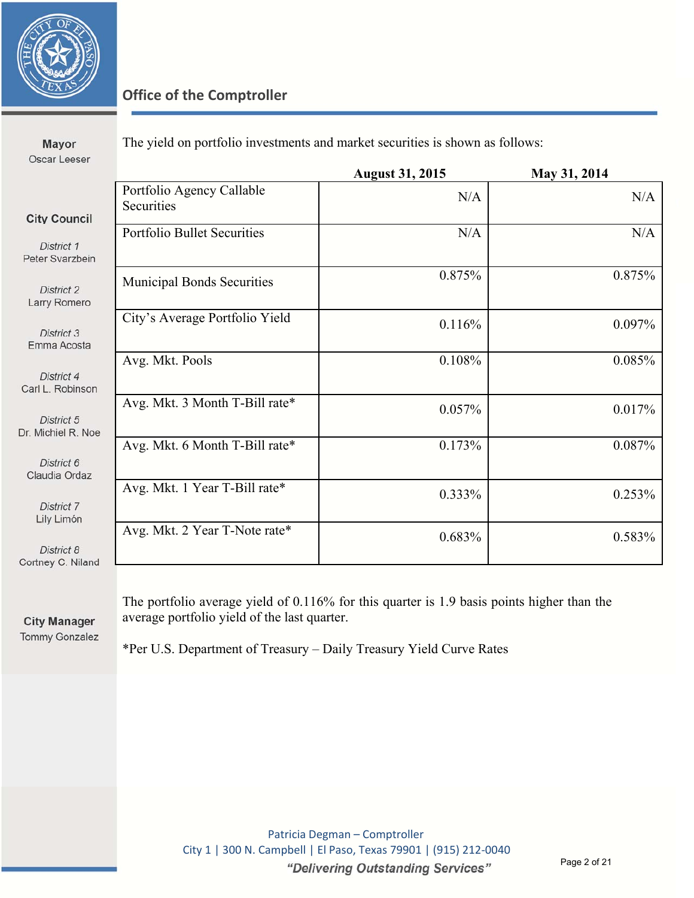

| Mayor<br>Oscar Leeser                                |                                         |                        | The yield on portfolio investments and market securities is shown as follows: |  |  |
|------------------------------------------------------|-----------------------------------------|------------------------|-------------------------------------------------------------------------------|--|--|
|                                                      |                                         | <b>August 31, 2015</b> | May 31, 2014                                                                  |  |  |
|                                                      | Portfolio Agency Callable<br>Securities | N/A                    | N/A                                                                           |  |  |
| <b>City Council</b><br>District 1<br>Peter Svarzbein | <b>Portfolio Bullet Securities</b>      | N/A                    | N/A                                                                           |  |  |
| District 2<br>Larry Romero                           | <b>Municipal Bonds Securities</b>       | 0.875%                 | 0.875%                                                                        |  |  |
| District 3<br>Emma Acosta                            | City's Average Portfolio Yield          | 0.116%                 | 0.097%                                                                        |  |  |
| District 4<br>Carl L. Robinson                       | Avg. Mkt. Pools                         | 0.108%                 | 0.085%                                                                        |  |  |
| District 5<br>Dr. Michiel R. Noe                     | Avg. Mkt. 3 Month T-Bill rate*          | 0.057%                 | 0.017%                                                                        |  |  |
| District 6<br>Claudia Ordaz                          | Avg. Mkt. 6 Month T-Bill rate*          | 0.173%                 | 0.087%                                                                        |  |  |
| District 7<br>Lily Limón                             | Avg. Mkt. 1 Year T-Bill rate*           | $0.333\%$              | 0.253%                                                                        |  |  |
| District 8<br>Cortney C. Niland                      | Avg. Mkt. 2 Year T-Note rate*           | 0.683%                 | 0.583%                                                                        |  |  |
|                                                      |                                         |                        |                                                                               |  |  |

**City Manager** Tommy Gonzalez The portfolio average yield of 0.116% for this quarter is 1.9 basis points higher than the average portfolio yield of the last quarter.

\*Per U.S. Department of Treasury – Daily Treasury Yield Curve Rates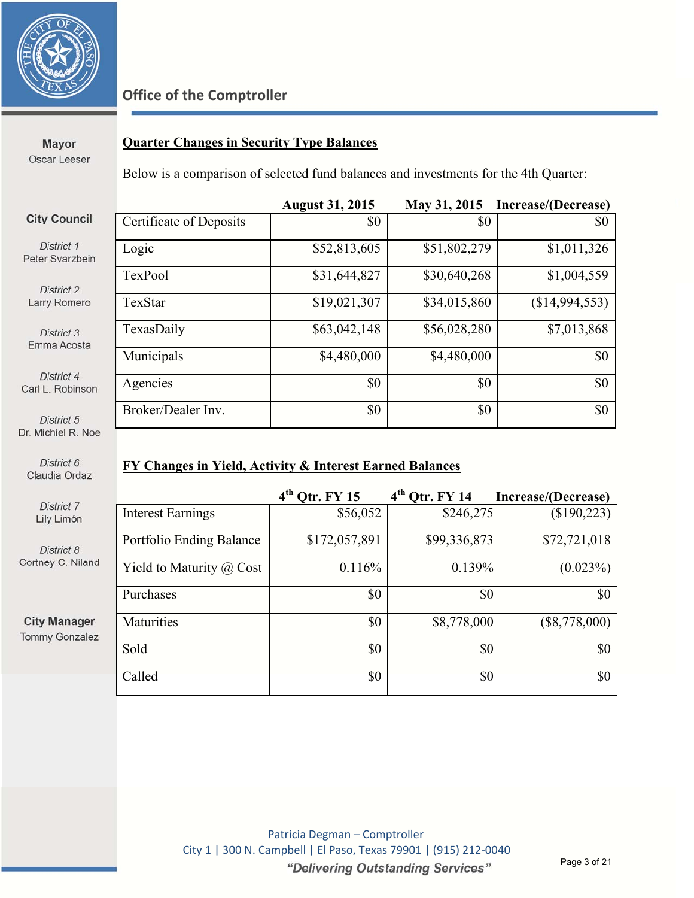

Mayor Oscar Leeser

#### **Quarter Changes in Security Type Balances**

Below is a comparison of selected fund balances and investments for the 4th Quarter:

|                                |                         | <b>August 31, 2015</b> | May 31, 2015 | Increase/(Decrease) |
|--------------------------------|-------------------------|------------------------|--------------|---------------------|
| <b>City Council</b>            | Certificate of Deposits | \$0                    | \$0          | \$0                 |
| District 1<br>Peter Svarzbein  | Logic                   | \$52,813,605           | \$51,802,279 | \$1,011,326         |
| District 2                     | TexPool                 | \$31,644,827           | \$30,640,268 | \$1,004,559         |
| Larry Romero                   | TexStar                 | \$19,021,307           | \$34,015,860 | (\$14,994,553)      |
| District 3<br>Emma Acosta      | TexasDaily              | \$63,042,148           | \$56,028,280 | \$7,013,868         |
|                                | Municipals              | \$4,480,000            | \$4,480,000  | \$0                 |
| District 4<br>Carl L. Robinson | Agencies                | \$0                    | \$0          | \$0                 |
| District 5                     | Broker/Dealer Inv.      | \$0                    | \$0          | \$0                 |

Dr. Michiel R. Noe

Carl

District 6 Claudia Ordaz

> District 7 Lily Limón

District 8 Cortney C. Nilan

**City Manager Tommy Gonzale** 

#### **FY Changes in Yield, Activity & Interest Earned Balances**

|    |                                 | $4th$ Qtr. FY 15 | $4th$ Otr. FY 14 | Increase/(Decrease) |
|----|---------------------------------|------------------|------------------|---------------------|
|    | <b>Interest Earnings</b>        | \$56,052         | \$246,275        | (\$190,223)         |
|    | Portfolio Ending Balance        | \$172,057,891    | \$99,336,873     | \$72,721,018        |
| ıd | Yield to Maturity $\omega$ Cost | 0.116%           | 0.139%           | (0.023%)            |
|    | Purchases                       | \$0              | \$0              | \$0                 |
| ż. | Maturities                      | \$0              | \$8,778,000      | $(\$8,778,000)$     |
|    | Sold                            | \$0              | \$0              | \$0                 |
|    | Called                          | \$0              | \$0              | \$0                 |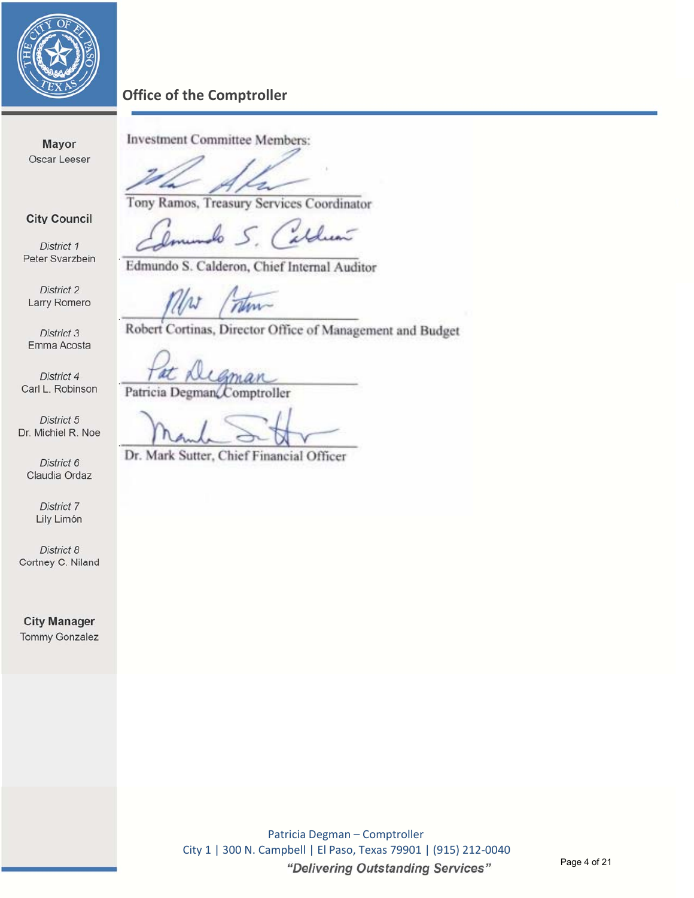

**Mayor** Oscar Leeser

**City Council** 

District 1 Peter Svarzbein Investment Committee Members:

į

Tony Ramos, Treasury Services Coordinator

aldun h

Edmundo S. Calderon, Chief Internal Auditor

District 2 Larry Romero

District 3 Emma Acosta

District 4 Carl L. Robinson

District 5 Dr. Michiel R. Noe

District 6 Claudia Ordaz

> District 7 Lily Limón

District 8 Cortney C. Niland

**City Manager** Tommy Gonzalez num

Robert Cortinas, Director Office of Management and Budget

man Patricia Degman $\mathcal{L}$ omptroller

Dr. Mark Sutter, Chief Financial Officer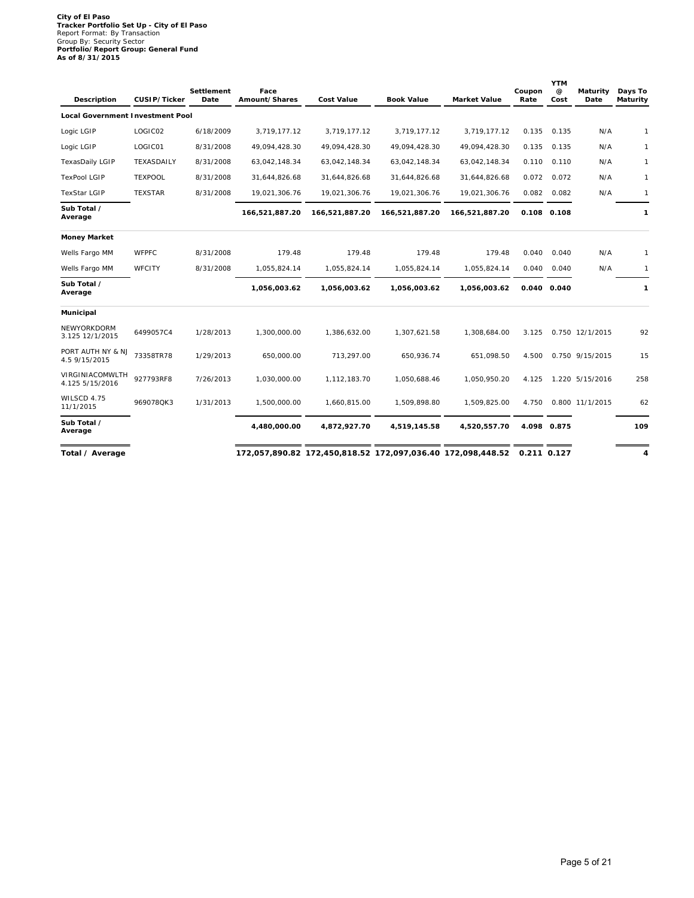# **City of El Paso Tracker Portfolio Set Up - City of El Paso** Report Format: By Transaction Group By: Security Sector **Portfolio/Report Group: General Fund As of 8/31/2015**

| Description                             | CUSIP/Ticker   | Settlement<br>Date | Face<br>Amount/Shares | <b>Cost Value</b>                                           | <b>Book Value</b> | Market Value   | Coupon<br>Rate | <b>YTM</b><br>$^{\copyright}$<br>Cost | Maturity<br>Date | Days To<br>Maturity |
|-----------------------------------------|----------------|--------------------|-----------------------|-------------------------------------------------------------|-------------------|----------------|----------------|---------------------------------------|------------------|---------------------|
| <b>Local Government Investment Pool</b> |                |                    |                       |                                                             |                   |                |                |                                       |                  |                     |
| Logic LGIP                              | LOGIC02        | 6/18/2009          | 3,719,177.12          | 3,719,177.12                                                | 3,719,177.12      | 3,719,177.12   | 0.135          | 0.135                                 | N/A              | $\mathbf{1}$        |
| Logic LGIP                              | LOGIC01        | 8/31/2008          | 49,094,428.30         | 49,094,428.30                                               | 49,094,428.30     | 49,094,428.30  | 0.135          | 0.135                                 | N/A              | $\mathbf{1}$        |
| TexasDaily LGIP                         | TEXASDAILY     | 8/31/2008          | 63,042,148.34         | 63,042,148.34                                               | 63,042,148.34     | 63,042,148.34  | 0.110          | 0.110                                 | N/A              | $\mathbf{1}$        |
| <b>TexPool LGIP</b>                     | <b>TEXPOOL</b> | 8/31/2008          | 31,644,826.68         | 31,644,826.68                                               | 31,644,826.68     | 31,644,826.68  | 0.072          | 0.072                                 | N/A              | $\mathbf{1}$        |
| <b>TexStar LGIP</b>                     | <b>TEXSTAR</b> | 8/31/2008          | 19,021,306.76         | 19,021,306.76                                               | 19,021,306.76     | 19,021,306.76  | 0.082          | 0.082                                 | N/A              | $\mathbf{1}$        |
| Sub Total /<br>Average                  |                |                    | 166,521,887.20        | 166,521,887.20                                              | 166,521,887.20    | 166,521,887.20 |                | 0.108 0.108                           |                  | $\mathbf{1}$        |
| <b>Money Market</b>                     |                |                    |                       |                                                             |                   |                |                |                                       |                  |                     |
| Wells Fargo MM                          | WFPFC          | 8/31/2008          | 179.48                | 179.48                                                      | 179.48            | 179.48         | 0.040          | 0.040                                 | N/A              | $\mathbf{1}$        |
| Wells Fargo MM                          | WFCITY         | 8/31/2008          | 1,055,824.14          | 1,055,824.14                                                | 1,055,824.14      | 1,055,824.14   | 0.040          | 0.040                                 | N/A              | $\mathbf{1}$        |
| Sub Total /<br>Average                  |                |                    | 1,056,003.62          | 1,056,003.62                                                | 1,056,003.62      | 1,056,003.62   |                | 0.040 0.040                           |                  | $\mathbf{1}$        |
| Municipal                               |                |                    |                       |                                                             |                   |                |                |                                       |                  |                     |
| NEWYORKDORM<br>3.125 12/1/2015          | 6499057C4      | 1/28/2013          | 1,300,000.00          | 1,386,632.00                                                | 1,307,621.58      | 1,308,684.00   | 3.125          |                                       | 0.750 12/1/2015  | 92                  |
| PORT AUTH NY & NJ<br>4.5 9/15/2015      | 73358TR78      | 1/29/2013          | 650,000.00            | 713,297.00                                                  | 650,936.74        | 651,098.50     | 4.500          |                                       | 0.750 9/15/2015  | 15                  |
| VIRGINIACOMWLTH<br>4.125 5/15/2016      | 927793RF8      | 7/26/2013          | 1,030,000.00          | 1,112,183.70                                                | 1,050,688.46      | 1,050,950.20   | 4.125          |                                       | 1.220 5/15/2016  | 258                 |
| WILSCD 4.75<br>11/1/2015                | 969078QK3      | 1/31/2013          | 1,500,000.00          | 1,660,815.00                                                | 1,509,898.80      | 1,509,825.00   | 4.750          |                                       | 0.800 11/1/2015  | 62                  |
| Sub Total /<br>Average                  |                |                    | 4,480,000.00          | 4,872,927.70                                                | 4,519,145.58      | 4,520,557.70   |                | 4.098 0.875                           |                  | 109                 |
| Total / Average                         |                |                    |                       | 172,057,890.82 172,450,818.52 172,097,036.40 172,098,448.52 |                   |                | 0.211 0.127    |                                       |                  | 4                   |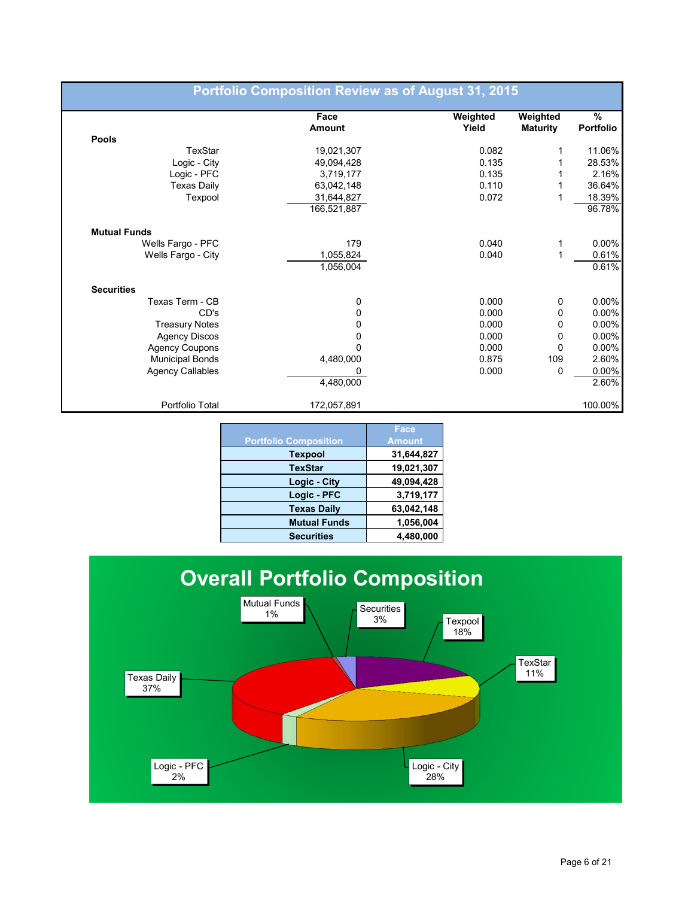|                         | Face        | Weighted | Weighted        | $\%$      |
|-------------------------|-------------|----------|-----------------|-----------|
|                         | Amount      | Yield    | <b>Maturity</b> | Portfolio |
| <b>Pools</b>            |             |          |                 |           |
| TexStar                 | 19,021,307  | 0.082    | 1               | 11.06%    |
| Logic - City            | 49,094,428  | 0.135    | 1               | 28.53%    |
| Logic - PFC             | 3,719,177   | 0.135    |                 | 2.16%     |
| <b>Texas Daily</b>      | 63,042,148  | 0.110    | 1               | 36.64%    |
| Texpool                 | 31,644,827  | 0.072    |                 | 18.39%    |
|                         | 166,521,887 |          |                 | 96.78%    |
| <b>Mutual Funds</b>     |             |          |                 |           |
| Wells Fargo - PFC       | 179         | 0.040    | 1               | $0.00\%$  |
| Wells Fargo - City      | 1,055,824   | 0.040    | 1               | 0.61%     |
|                         | 1,056,004   |          |                 | 0.61%     |
| <b>Securities</b>       |             |          |                 |           |
| Texas Term - CB         | 0           | 0.000    | 0               | $0.00\%$  |
| CD's                    | 0           | 0.000    | 0               | $0.00\%$  |
| <b>Treasury Notes</b>   | 0           | 0.000    | 0               | $0.00\%$  |
| <b>Agency Discos</b>    | 0           | 0.000    | 0               | $0.00\%$  |
| <b>Agency Coupons</b>   | 0           | 0.000    | 0               | $0.00\%$  |
| <b>Municipal Bonds</b>  | 4,480,000   | 0.875    | 109             | 2.60%     |
| <b>Agency Callables</b> | 0           | 0.000    | 0               | $0.00\%$  |
|                         | 4,480,000   |          |                 | 2.60%     |
| Portfolio Total         | 172,057,891 |          |                 | 100.00%   |

|                              | Face          |
|------------------------------|---------------|
| <b>Portfolio Composition</b> | <b>Amount</b> |
| <b>Texpool</b>               | 31,644,827    |
| <b>TexStar</b>               | 19,021,307    |
| Logic - City                 | 49,094,428    |
| Logic - PFC                  | 3,719,177     |
| <b>Texas Daily</b>           | 63,042,148    |
| <b>Mutual Funds</b>          | 1,056,004     |
| <b>Securities</b>            | 4,480,000     |

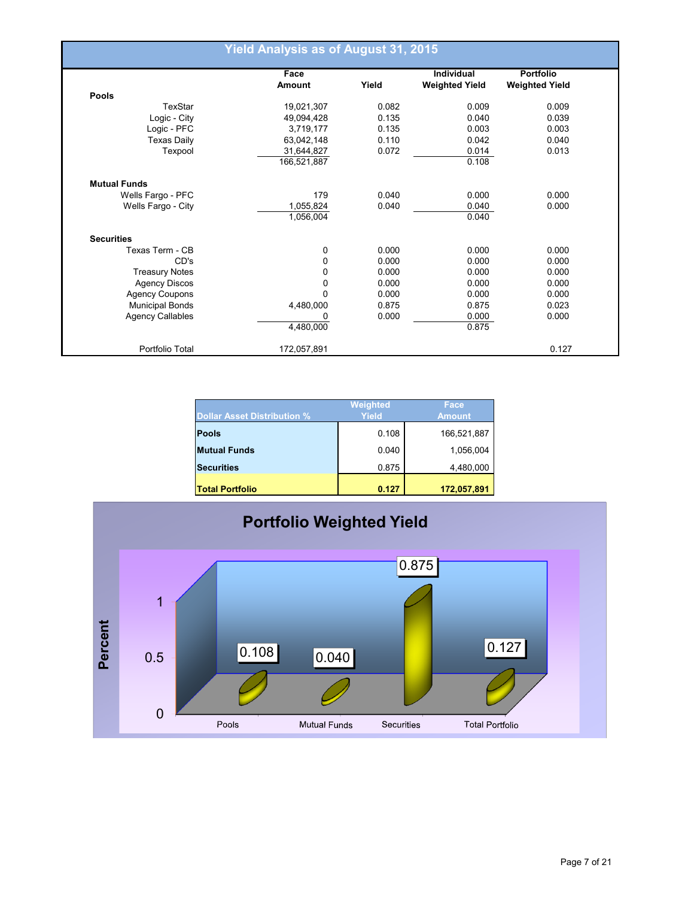|                         | <b>Yield Analysis as of August 31, 2015</b> |       |                       |                       |
|-------------------------|---------------------------------------------|-------|-----------------------|-----------------------|
|                         | Face                                        |       | <b>Individual</b>     | <b>Portfolio</b>      |
|                         | Amount                                      | Yield | <b>Weighted Yield</b> | <b>Weighted Yield</b> |
| <b>Pools</b>            |                                             |       |                       |                       |
| TexStar                 | 19,021,307                                  | 0.082 | 0.009                 | 0.009                 |
| Logic - City            | 49,094,428                                  | 0.135 | 0.040                 | 0.039                 |
| Logic - PFC             | 3,719,177                                   | 0.135 | 0.003                 | 0.003                 |
| <b>Texas Daily</b>      | 63,042,148                                  | 0.110 | 0.042                 | 0.040                 |
| Texpool                 | 31,644,827                                  | 0.072 | 0.014                 | 0.013                 |
|                         | 166,521,887                                 |       | 0.108                 |                       |
| <b>Mutual Funds</b>     |                                             |       |                       |                       |
| Wells Fargo - PFC       | 179                                         | 0.040 | 0.000                 | 0.000                 |
| Wells Fargo - City      | 1,055,824                                   | 0.040 | 0.040                 | 0.000                 |
|                         | 1,056,004                                   |       | 0.040                 |                       |
| <b>Securities</b>       |                                             |       |                       |                       |
| Texas Term - CB         | 0                                           | 0.000 | 0.000                 | 0.000                 |
| CD's                    | 0                                           | 0.000 | 0.000                 | 0.000                 |
| <b>Treasury Notes</b>   | 0                                           | 0.000 | 0.000                 | 0.000                 |
| <b>Agency Discos</b>    | 0                                           | 0.000 | 0.000                 | 0.000                 |
| Agency Coupons          | $\Omega$                                    | 0.000 | 0.000                 | 0.000                 |
| <b>Municipal Bonds</b>  | 4,480,000                                   | 0.875 | 0.875                 | 0.023                 |
| <b>Agency Callables</b> | 0                                           | 0.000 | 0.000                 | 0.000                 |
|                         | 4,480,000                                   |       | 0.875                 |                       |
| Portfolio Total         | 172,057,891                                 |       |                       | 0.127                 |

| Dollar Asset Distribution % | Weighted<br>Yield | Face<br><b>Amount</b> |
|-----------------------------|-------------------|-----------------------|
| <b>Pools</b>                | 0.108             | 166,521,887           |
| <b>Mutual Funds</b>         | 0.040             | 1,056,004             |
| <b>Securities</b>           | 0.875             | 4,480,000             |
| <b>Total Portfolio</b>      | 0.127             | 172,057,891           |

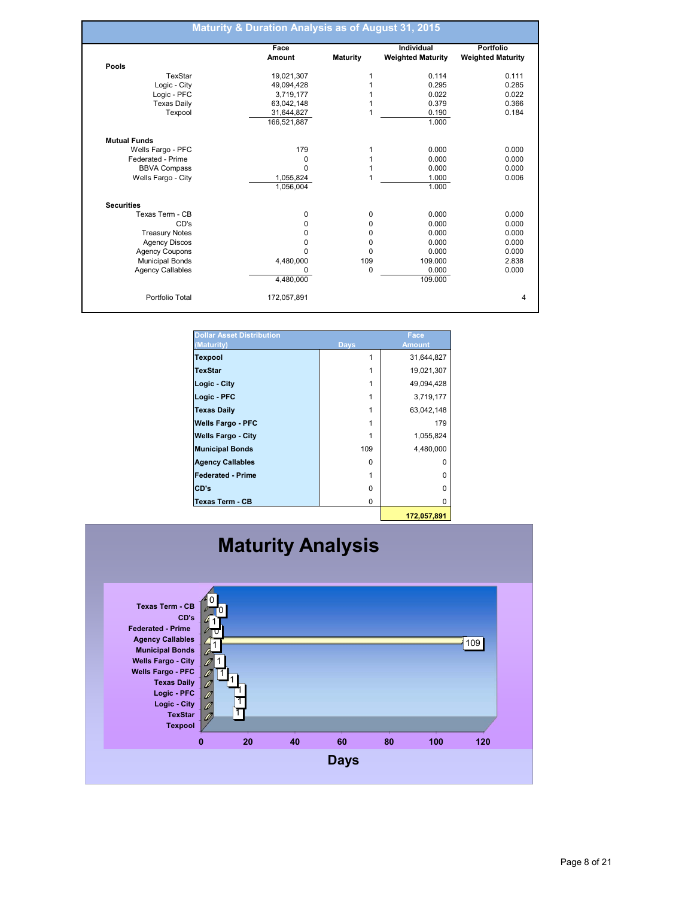|                         | Face          |                 | Individual               | <b>Portfolio</b>         |
|-------------------------|---------------|-----------------|--------------------------|--------------------------|
|                         | <b>Amount</b> | <b>Maturity</b> | <b>Weighted Maturity</b> | <b>Weighted Maturity</b> |
| Pools                   |               |                 |                          |                          |
| TexStar                 | 19,021,307    | 1               | 0.114                    | 0.111                    |
| Logic - City            | 49,094,428    |                 | 0.295                    | 0.285                    |
| Logic - PFC             | 3,719,177     |                 | 0.022                    | 0.022                    |
| <b>Texas Daily</b>      | 63,042,148    |                 | 0.379                    | 0.366                    |
| Texpool                 | 31,644,827    |                 | 0.190                    | 0.184                    |
|                         | 166,521,887   |                 | 1.000                    |                          |
| <b>Mutual Funds</b>     |               |                 |                          |                          |
| Wells Fargo - PFC       | 179           |                 | 0.000                    | 0.000                    |
| Federated - Prime       | 0             |                 | 0.000                    | 0.000                    |
| <b>BBVA Compass</b>     | $\Omega$      |                 | 0.000                    | 0.000                    |
| Wells Fargo - City      | 1,055,824     |                 | 1.000                    | 0.006                    |
|                         | 1,056,004     |                 | 1.000                    |                          |
| <b>Securities</b>       |               |                 |                          |                          |
| Texas Term - CB         | 0             | 0               | 0.000                    | 0.000                    |
| CD's                    | 0             | 0               | 0.000                    | 0.000                    |
| <b>Treasury Notes</b>   | 0             | 0               | 0.000                    | 0.000                    |
| <b>Agency Discos</b>    | 0             | 0               | 0.000                    | 0.000                    |
| <b>Agency Coupons</b>   | 0             | $\Omega$        | 0.000                    | 0.000                    |
| <b>Municipal Bonds</b>  | 4,480,000     | 109             | 109.000                  | 2.838                    |
| <b>Agency Callables</b> | O             | $\mathbf 0$     | 0.000                    | 0.000                    |
|                         | 4,480,000     |                 | 109.000                  |                          |
| Portfolio Total         | 172,057,891   |                 |                          |                          |

| <b>Dollar Asset Distribution</b><br>(Maturity) | <b>Days</b> | Face<br><b>Amount</b> |
|------------------------------------------------|-------------|-----------------------|
| <b>Texpool</b>                                 |             | 31,644,827            |
| <b>TexStar</b>                                 |             | 19,021,307            |
| Logic - City                                   |             | 49,094,428            |
| Logic - PFC                                    |             | 3,719,177             |
| <b>Texas Daily</b>                             |             | 63,042,148            |
| <b>Wells Fargo - PFC</b>                       |             | 179                   |
| <b>Wells Fargo - City</b>                      |             | 1,055,824             |
| <b>Municipal Bonds</b>                         | 109         | 4,480,000             |
| <b>Agency Callables</b>                        | 0           | O                     |
| <b>Federated - Prime</b>                       |             | O                     |
| CD's                                           | 0           | U                     |
| Texas Term - CB                                | 0           | 0                     |
|                                                |             |                       |

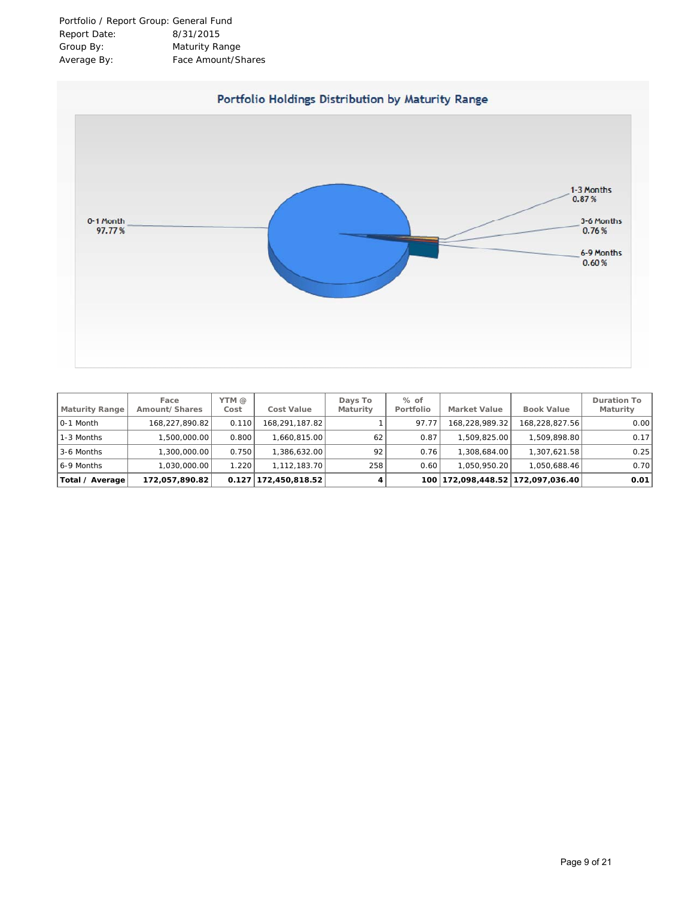

| <b>Maturity Range</b> | Face<br>Amount/Shares | YTM @<br>Cost | Cost Value                       | Days To<br>Maturity | $%$ of<br>Portfolio | <b>Market Value</b> | <b>Book Value</b>             | Duration To<br>Maturity |
|-----------------------|-----------------------|---------------|----------------------------------|---------------------|---------------------|---------------------|-------------------------------|-------------------------|
| 0-1 Month             | 168.227.890.82        | 0.110         | 168.291.187.82                   |                     | 97.77               | 168.228.989.32      | 168.228.827.56                | 0.00                    |
| 1-3 Months            | 1.500.000.00          | 0.800         | .660.815.00                      | 62                  | 0.87                | ا 509،825.00 ا      | 1.509.898.801                 | 0.17                    |
| 3-6 Months            | 1.300.000.00          | 0.750         | .386.632.00                      | 92                  | 0.76                | 1.308.684.00        | 1.307.621.58                  | 0.25                    |
| 6--9 Months           | 1.030.000.00          | .220          | 1.112.183.70                     | 258                 | 0.60                | 1.050.950.20        | 1.050.688.46                  | 0.70                    |
| Total / Average       | 172,057,890.82        |               | $0.127 \mid 172,450,818.52 \mid$ | 4                   | 100 <sup>1</sup>    |                     | 172,098,448.52 172,097,036.40 | 0.01                    |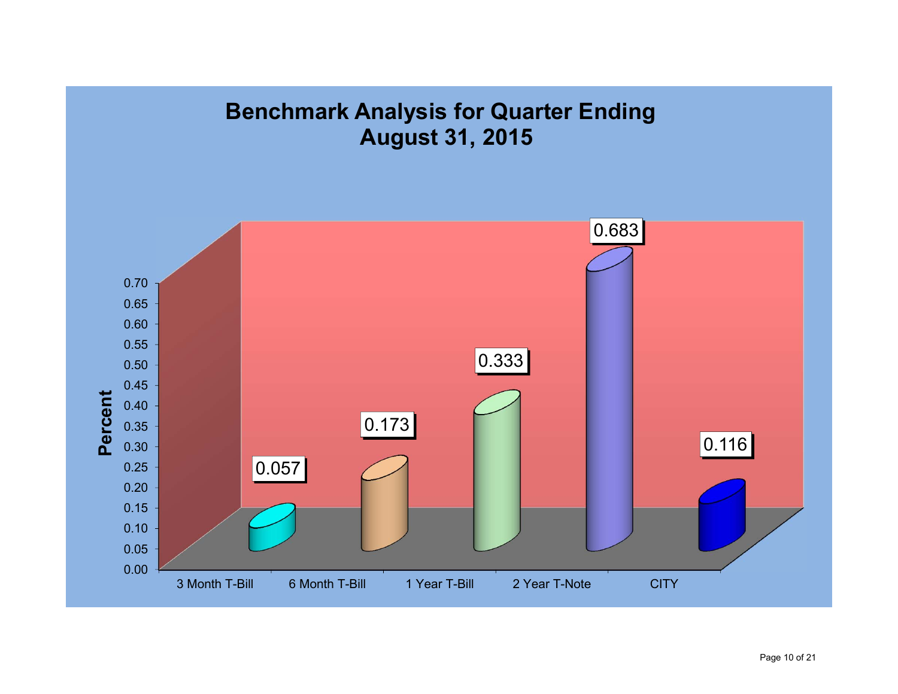# **Benchmark Analysis for Quarter Ending August 31, 2015**

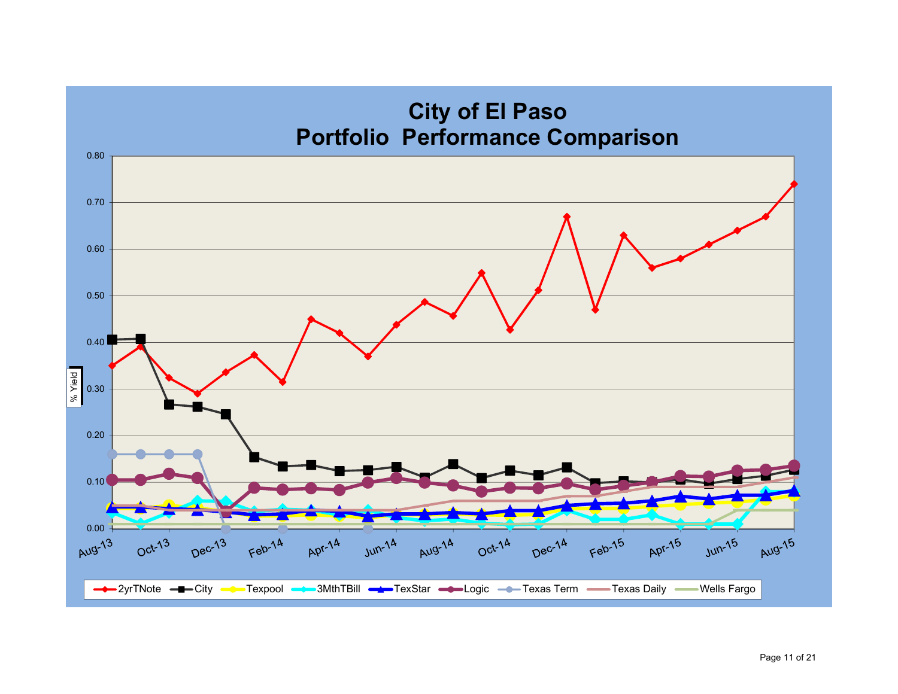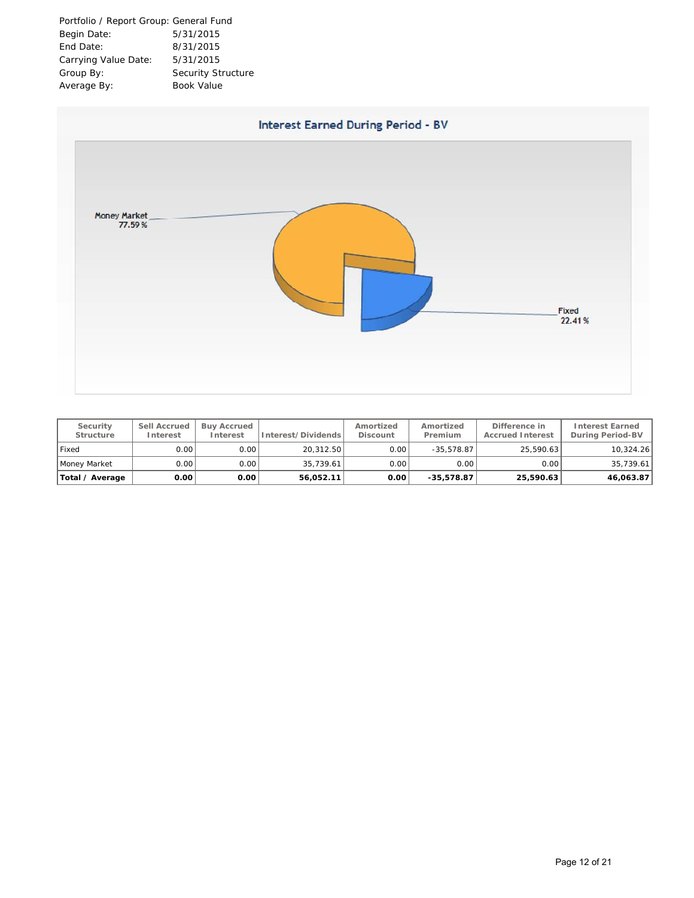| Portfolio / Report Group: General Fund |                           |
|----------------------------------------|---------------------------|
| Begin Date:                            | 5/31/2015                 |
| End Date:                              | 8/31/2015                 |
| Carrying Value Date:                   | 5/31/2015                 |
| Group By:                              | <b>Security Structure</b> |
| Average By:                            | <b>Book Value</b>         |



| Security<br>Structure | Sell Accrued<br>Interest | <b>Buy Accrued</b><br>Interest | Interest/Dividends | Amortized<br>Discount | Amortized<br>Premium | Difference in<br><b>Accrued Interest</b> | <b>Interest Earned</b><br>During Period-BV |
|-----------------------|--------------------------|--------------------------------|--------------------|-----------------------|----------------------|------------------------------------------|--------------------------------------------|
| ı Fixed               | 0.001                    | 0.00                           | 20.312.50          | 0.00                  | $-35.578.87$         | 25.590.63                                | 10,324.26                                  |
| Money Market          | 0.001                    | 0.00                           | 35.739.61          | 0.00                  | 0.001                | 0.001                                    | 35,739.61                                  |
| Total / Average       | 0.00                     | 0.00                           | 56.052.11          | 0.00                  | $-35.578.87$         | 25,590.63                                | 46,063.87                                  |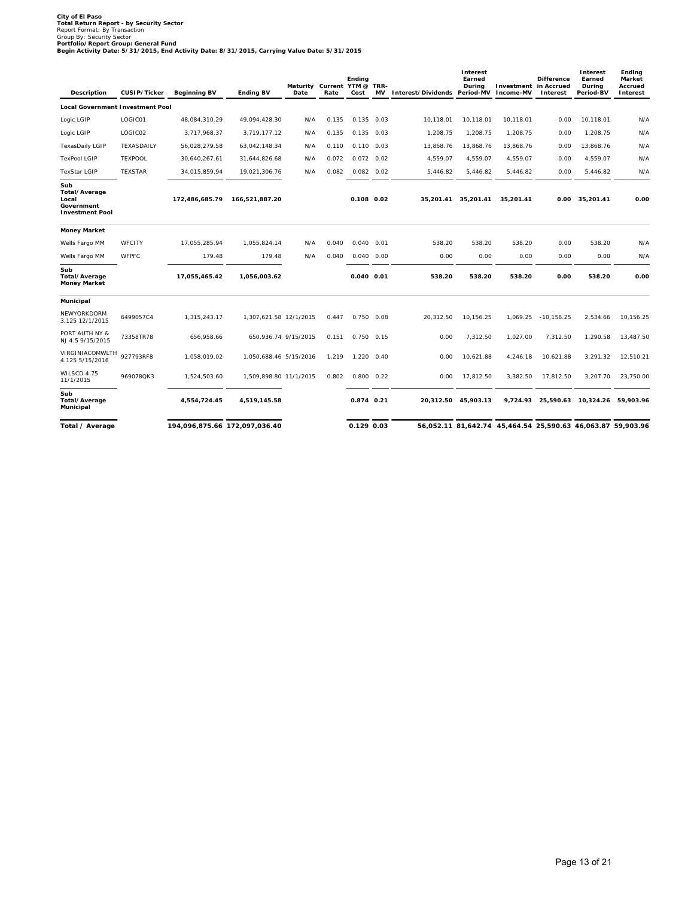City of El Paso<br>Total Return Report - by Security Sector<br>Report Format: By Transaction<br>Portfolio/Report Group: General Fund<br>Pogin Activity Date: 5/31/2015, End Activity Date: 8/31/2015, Carrying Value Date: 5/31/2015<br>Begin

| Description                                                           | CUSIP/Ticker   | <b>Beginning BV</b> | <b>Ending BV</b>              | Maturity Current YTM @ TRR-<br>Date | Rate  | Ending<br>Cost     | MV Interest/Dividends Period-MV Income-MV | Interest<br>Earned<br>During | Investment in Accrued                                       | <b>Difference</b><br>Interest | Interest<br>Earned<br>Durina<br>Period-BV | Ending<br>Market<br>Accrued<br>Interest |
|-----------------------------------------------------------------------|----------------|---------------------|-------------------------------|-------------------------------------|-------|--------------------|-------------------------------------------|------------------------------|-------------------------------------------------------------|-------------------------------|-------------------------------------------|-----------------------------------------|
| <b>Local Government Investment Pool</b>                               |                |                     |                               |                                     |       |                    |                                           |                              |                                                             |                               |                                           |                                         |
| Logic LGIP                                                            | LOGIC01        | 48,084,310.29       | 49,094,428.30                 | N/A                                 | 0.135 | $0.135$ 0.03       | 10,118.01                                 | 10,118.01                    | 10,118.01                                                   | 0.00                          | 10,118.01                                 | N/A                                     |
| Logic LGIP                                                            | LOGIC02        | 3,717,968.37        | 3,719,177.12                  | N/A                                 | 0.135 | $0.135$ $0.03$     | 1,208.75                                  | 1,208.75                     | 1,208.75                                                    | 0.00                          | 1,208.75                                  | N/A                                     |
| <b>TexasDaily LGIP</b>                                                | TEXASDAILY     | 56,028,279.58       | 63,042,148.34                 | N/A                                 | 0.110 | $0.110$ $0.03$     | 13,868.76                                 | 13,868.76                    | 13,868.76                                                   | 0.00                          | 13,868.76                                 | N/A                                     |
| <b>TexPool LGIP</b>                                                   | <b>TEXPOOL</b> | 30,640,267.61       | 31,644,826.68                 | N/A                                 | 0.072 | $0.072$ 0.02       | 4,559.07                                  | 4,559.07                     | 4,559.07                                                    | 0.00                          | 4,559.07                                  | N/A                                     |
| <b>TexStar LGIP</b>                                                   | <b>TEXSTAR</b> | 34,015,859.94       | 19,021,306.76                 | N/A                                 | 0.082 | $0.082$ $0.02$     | 5,446.82                                  | 5,446.82                     | 5,446.82                                                    | 0.00                          | 5,446.82                                  | N/A                                     |
| Sub<br>Total/Average<br>Local<br>Government<br><b>Investment Pool</b> |                | 172,486,685.79      | 166,521,887.20                |                                     |       | $0.108$ $0.02$     | 35,201.41                                 | 35,201.41                    | 35,201.41                                                   |                               | 0.00 35,201.41                            | 0.00                                    |
| <b>Money Market</b>                                                   |                |                     |                               |                                     |       |                    |                                           |                              |                                                             |                               |                                           |                                         |
| Wells Fargo MM                                                        | WFCITY         | 17,055,285.94       | 1,055,824.14                  | N/A                                 | 0.040 | $0.040$ $0.01$     | 538.20                                    | 538.20                       | 538.20                                                      | 0.00                          | 538.20                                    | N/A                                     |
| Wells Fargo MM                                                        | <b>WFPFC</b>   | 179.48              | 179.48                        | N/A                                 | 0.040 | $0.040$ $0.00$     | 0.00                                      | 0.00                         | 0.00                                                        | 0.00                          | 0.00                                      | N/A                                     |
| Sub<br>Total/Average<br><b>Money Market</b>                           |                | 17,055,465.42       | 1,056,003.62                  |                                     |       | $0.040$ $0.01$     | 538.20                                    | 538.20                       | 538.20                                                      | 0.00                          | 538.20                                    | 0.00                                    |
| Municipal                                                             |                |                     |                               |                                     |       |                    |                                           |                              |                                                             |                               |                                           |                                         |
| NEWYORKDORM<br>3.125 12/1/2015                                        | 6499057C4      | 1,315,243.17        | 1,307,621.58 12/1/2015        |                                     | 0.447 | $0.750$ 0.08       | 20.312.50                                 | 10.156.25                    | 1.069.25                                                    | $-10.156.25$                  | 2.534.66                                  | 10.156.25                               |
| PORT AUTH NY &<br>NJ 4.5 9/15/2015                                    | 73358TR78      | 656,958.66          | 650,936.74 9/15/2015          |                                     | 0.151 | $0.750$ $0.15$     | 0.00                                      | 7,312.50                     | 1,027.00                                                    | 7,312.50                      | 1,290.58                                  | 13,487.50                               |
| VIRGINIACOMWLTH<br>4.125 5/15/2016                                    | 927793RF8      | 1,058,019.02        | 1.050.688.46 5/15/2016        |                                     | 1.219 | 1.220 0.40         | 0.00                                      | 10.621.88                    | 4.246.18                                                    | 10,621.88                     | 3,291.32                                  | 12.510.21                               |
| WILSCD 4.75<br>11/1/2015                                              | 969078QK3      | 1,524,503.60        | 1,509,898.80 11/1/2015        |                                     | 0.802 | $0.800 \quad 0.22$ | 0.00                                      | 17,812.50                    | 3,382.50                                                    | 17,812.50                     | 3,207.70                                  | 23.750.00                               |
| Sub<br>Total/Average<br>Municipal                                     |                | 4,554,724.45        | 4,519,145.58                  |                                     |       | 0.874 0.21         |                                           | 20.312.50 45.903.13          |                                                             |                               | 9,724.93 25,590.63 10,324.26 59,903.96    |                                         |
| Total / Average                                                       |                |                     | 194,096,875.66 172,097,036.40 |                                     |       | 0.129 0.03         |                                           |                              | 56,052.11 81,642.74 45,464.54 25,590.63 46,063.87 59,903.96 |                               |                                           |                                         |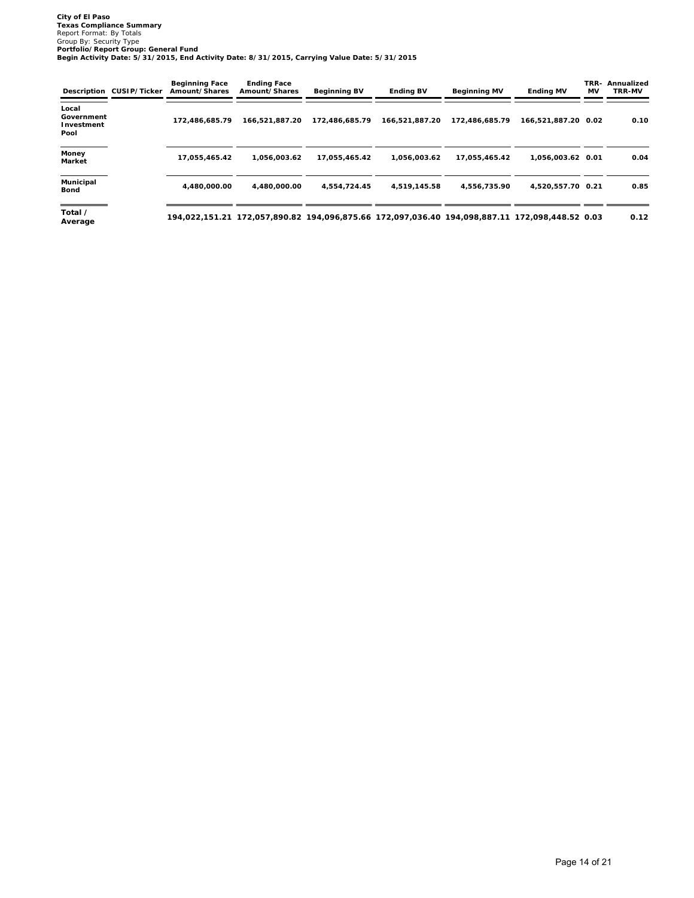City of El Paso<br>Texas Compliance Summary<br>Report Formai: By Totals<br>Group By: Security Type<br>Portfolio/Report Group: General Fund<br>Begin Activity Date: 5/31/2015, End Activity Date: 8/31/2015, Carrying Value Date: 5/31/2015

|                                           | Description CUSIP/Ticker | <b>Beginning Face</b><br>Amount/Shares | <b>Ending Face</b><br>Amount/Shares | <b>Beginning BV</b>                                                                            | <b>Ending BV</b> | <b>Beginning MV</b> | <b>Ending MV</b>    | TRR-<br><b>MV</b> | Annualized<br>TRR-MV |
|-------------------------------------------|--------------------------|----------------------------------------|-------------------------------------|------------------------------------------------------------------------------------------------|------------------|---------------------|---------------------|-------------------|----------------------|
| Local<br>Government<br>Investment<br>Pool |                          | 172,486,685.79                         | 166,521,887.20                      | 172,486,685.79                                                                                 | 166,521,887.20   | 172,486,685.79      | 166,521,887.20 0.02 |                   | 0.10                 |
| Money<br>Market                           |                          | 17,055,465.42                          | 1.056.003.62                        | 17,055,465.42                                                                                  | 1.056.003.62     | 17,055,465.42       | 1,056,003.62 0.01   |                   | 0.04                 |
| Municipal<br>Bond                         |                          | 4.480.000.00                           | 4.480.000.00                        | 4.554.724.45                                                                                   | 4.519.145.58     | 4,556,735.90        | 4,520,557.70 0.21   |                   | 0.85                 |
| Total /<br>Average                        |                          |                                        |                                     | 194,022,151.21 172,057,890.82 194,096,875.66 172,097,036.40 194,098,887.11 172,098,448.52 0.03 |                  |                     |                     |                   | 0.12                 |

Page 14 of 21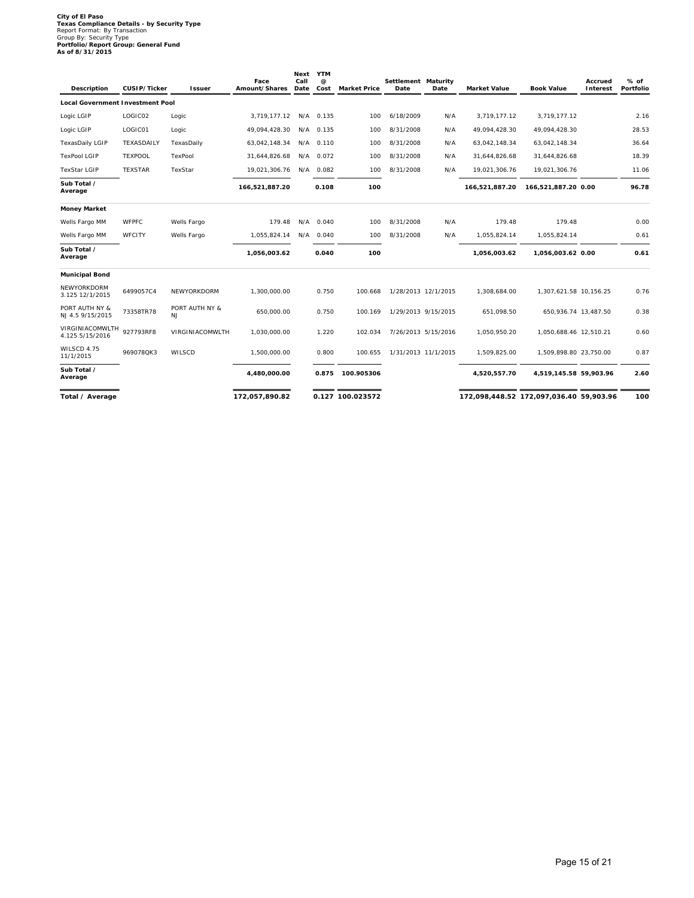## **City of El Paso Texas Compliance Details - by Security Type** Report Format: By Transaction Group By: Security Type **Portfolio/Report Group: General Fund As of 8/31/2015**

| Description                             | CUSIP/Ticker   | Issuer                      | Face<br>Amount/Shares | Next<br>Call<br>Date | <b>YTM</b><br>$^{\copyright}$<br>Cost | <b>Market Price</b> | Settlement Maturity<br>Date | Date                | <b>Market Value</b> | <b>Book Value</b>                       | Accrued<br>Interest | % of<br>Portfolio |
|-----------------------------------------|----------------|-----------------------------|-----------------------|----------------------|---------------------------------------|---------------------|-----------------------------|---------------------|---------------------|-----------------------------------------|---------------------|-------------------|
| <b>Local Government Investment Pool</b> |                |                             |                       |                      |                                       |                     |                             |                     |                     |                                         |                     |                   |
| Logic LGIP                              | LOGIC02        | Logic                       | 3,719,177.12          |                      | N/A 0.135                             | 100                 | 6/18/2009                   | N/A                 | 3,719,177.12        | 3,719,177.12                            |                     | 2.16              |
| Logic LGIP                              | LOGIC01        | Logic                       | 49,094,428.30         |                      | N/A 0.135                             | 100                 | 8/31/2008                   | N/A                 | 49,094,428.30       | 49,094,428.30                           |                     | 28.53             |
| TexasDaily LGIP                         | TEXASDAILY     | TexasDaily                  | 63,042,148.34         |                      | N/A 0.110                             | 100                 | 8/31/2008                   | N/A                 | 63,042,148.34       | 63,042,148.34                           |                     | 36.64             |
| <b>TexPool LGIP</b>                     | <b>TEXPOOL</b> | TexPool                     | 31,644,826.68         |                      | N/A 0.072                             | 100                 | 8/31/2008                   | N/A                 | 31,644,826.68       | 31,644,826.68                           |                     | 18.39             |
| <b>TexStar LGIP</b>                     | <b>TEXSTAR</b> | TexStar                     | 19,021,306.76         |                      | N/A 0.082                             | 100                 | 8/31/2008                   | N/A                 | 19,021,306.76       | 19,021,306.76                           |                     | 11.06             |
| Sub Total /<br>Average                  |                |                             | 166,521,887.20        |                      | 0.108                                 | 100                 |                             |                     | 166,521,887.20      | 166,521,887.20 0.00                     |                     | 96.78             |
| <b>Money Market</b>                     |                |                             |                       |                      |                                       |                     |                             |                     |                     |                                         |                     |                   |
| Wells Fargo MM                          | <b>WFPFC</b>   | Wells Fargo                 | 179.48                |                      | N/A 0.040                             | 100                 | 8/31/2008                   | N/A                 | 179.48              | 179.48                                  |                     | 0.00              |
| Wells Fargo MM                          | WFCITY         | Wells Fargo                 | 1,055,824.14          |                      | N/A 0.040                             | 100                 | 8/31/2008                   | N/A                 | 1,055,824.14        | 1,055,824.14                            |                     | 0.61              |
| Sub Total /<br>Average                  |                |                             | 1,056,003.62          |                      | 0.040                                 | 100                 |                             |                     | 1,056,003.62        | 1,056,003.62 0.00                       |                     | 0.61              |
| <b>Municipal Bond</b>                   |                |                             |                       |                      |                                       |                     |                             |                     |                     |                                         |                     |                   |
| NEWYORKDORM<br>3.125 12/1/2015          | 6499057C4      | NEWYORKDORM                 | 1,300,000.00          |                      | 0.750                                 | 100.668             | 1/28/2013 12/1/2015         |                     | 1,308,684.00        | 1,307,621.58 10,156.25                  |                     | 0.76              |
| PORT AUTH NY &<br>NJ 4.5 9/15/2015      | 73358TR78      | PORT AUTH NY &<br><b>NJ</b> | 650.000.00            |                      | 0.750                                 | 100.169             | 1/29/2013 9/15/2015         |                     | 651.098.50          | 650,936.74 13,487.50                    |                     | 0.38              |
| VIRGINIACOMWLTH<br>4.125 5/15/2016      | 927793RF8      | VIRGINIACOMWLTH             | 1,030,000.00          |                      | 1.220                                 | 102.034             |                             | 7/26/2013 5/15/2016 | 1,050,950.20        | 1,050,688.46 12,510.21                  |                     | 0.60              |
| WILSCD 4.75<br>11/1/2015                | 969078QK3      | WILSCD                      | 1,500,000.00          |                      | 0.800                                 | 100.655             |                             | 1/31/2013 11/1/2015 | 1,509,825.00        | 1,509,898.80 23,750.00                  |                     | 0.87              |
| Sub Total /<br>Average                  |                |                             | 4,480,000.00          |                      | 0.875                                 | 100.905306          |                             |                     | 4,520,557.70        | 4,519,145.58 59,903.96                  |                     | 2.60              |
| Total / Average                         |                |                             | 172,057,890.82        |                      |                                       | 0.127 100.023572    |                             |                     |                     | 172,098,448.52 172,097,036.40 59,903.96 |                     | 100               |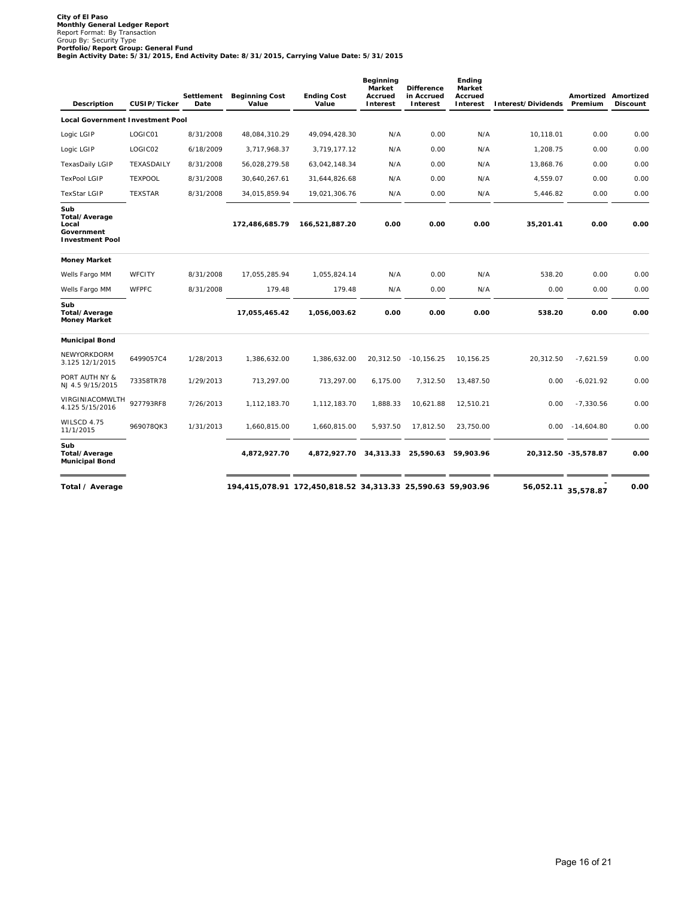City of El Paso<br>Monthly General Ledger Report<br>Report Format: By Transaction<br>Portfolio/Report Group: General Fund<br>Portfolio/Report Group: General Fund<br>Begin Activity Date: 5/31/2015, End Activity Date: 8/31/2015, Carrying V

| Description                                                           | CUSIP/Ticker   | Settlement<br>Date | <b>Beginning Cost</b><br>Value | <b>Ending Cost</b><br>Value                                 | Beginning<br>Market<br>Accrued<br>Interest | <b>Difference</b><br>in Accrued<br>Interest | Ending<br>Market<br>Accrued<br>Interest | Interest/Dividends | Premium              | Amortized Amortized<br><b>Discount</b> |
|-----------------------------------------------------------------------|----------------|--------------------|--------------------------------|-------------------------------------------------------------|--------------------------------------------|---------------------------------------------|-----------------------------------------|--------------------|----------------------|----------------------------------------|
| <b>Local Government Investment Pool</b>                               |                |                    |                                |                                                             |                                            |                                             |                                         |                    |                      |                                        |
| Logic LGIP                                                            | LOGIC01        | 8/31/2008          | 48,084,310.29                  | 49,094,428.30                                               | N/A                                        | 0.00                                        | N/A                                     | 10.118.01          | 0.00                 | 0.00                                   |
| Logic LGIP                                                            | LOGIC02        | 6/18/2009          | 3,717,968.37                   | 3,719,177.12                                                | N/A                                        | 0.00                                        | N/A                                     | 1,208.75           | 0.00                 | 0.00                                   |
| TexasDaily LGIP                                                       | TEXASDAILY     | 8/31/2008          | 56,028,279.58                  | 63,042,148.34                                               | N/A                                        | 0.00                                        | N/A                                     | 13,868.76          | 0.00                 | 0.00                                   |
| <b>TexPool LGIP</b>                                                   | <b>TEXPOOL</b> | 8/31/2008          | 30,640,267.61                  | 31,644,826.68                                               | N/A                                        | 0.00                                        | N/A                                     | 4,559.07           | 0.00                 | 0.00                                   |
| <b>TexStar LGIP</b>                                                   | <b>TEXSTAR</b> | 8/31/2008          | 34,015,859.94                  | 19,021,306.76                                               | N/A                                        | 0.00                                        | N/A                                     | 5,446.82           | 0.00                 | 0.00                                   |
| Sub<br>Total/Average<br>Local<br>Government<br><b>Investment Pool</b> |                |                    | 172,486,685.79                 | 166,521,887.20                                              | 0.00                                       | 0.00                                        | 0.00                                    | 35.201.41          | 0.00                 | 0.00                                   |
| Money Market                                                          |                |                    |                                |                                                             |                                            |                                             |                                         |                    |                      |                                        |
| Wells Fargo MM                                                        | WFCITY         | 8/31/2008          | 17,055,285.94                  | 1,055,824.14                                                | N/A                                        | 0.00                                        | N/A                                     | 538.20             | 0.00                 | 0.00                                   |
| Wells Fargo MM                                                        | <b>WFPFC</b>   | 8/31/2008          | 179.48                         | 179.48                                                      | N/A                                        | 0.00                                        | N/A                                     | 0.00               | 0.00                 | 0.00                                   |
| Sub<br>Total/Average<br>Money Market                                  |                |                    | 17,055,465.42                  | 1,056,003.62                                                | 0.00                                       | 0.00                                        | 0.00                                    | 538.20             | 0.00                 | 0.00                                   |
| <b>Municipal Bond</b>                                                 |                |                    |                                |                                                             |                                            |                                             |                                         |                    |                      |                                        |
| NEWYORKDORM<br>3.125 12/1/2015                                        | 6499057C4      | 1/28/2013          | 1,386,632.00                   | 1,386,632.00                                                | 20,312.50                                  | $-10, 156.25$                               | 10,156.25                               | 20,312.50          | $-7,621.59$          | 0.00                                   |
| PORT AUTH NY &<br>NJ 4.5 9/15/2015                                    | 73358TR78      | 1/29/2013          | 713,297.00                     | 713,297.00                                                  | 6,175.00                                   | 7,312.50                                    | 13,487.50                               | 0.00               | $-6,021.92$          | 0.00                                   |
| VIRGINIACOMWLTH<br>4.125 5/15/2016                                    | 927793RF8      | 7/26/2013          | 1,112,183.70                   | 1,112,183.70                                                | 1,888.33                                   | 10,621.88                                   | 12,510.21                               | 0.00               | $-7,330.56$          | 0.00                                   |
| WILSCD 4.75<br>11/1/2015                                              | 969078QK3      | 1/31/2013          | 1,660,815.00                   | 1,660,815.00                                                | 5,937.50                                   | 17,812.50                                   | 23.750.00                               | 0.00               | $-14,604.80$         | 0.00                                   |
| Sub<br>Total/Average<br><b>Municipal Bond</b>                         |                |                    | 4,872,927.70                   | 4,872,927.70 34,313.33 25,590.63 59,903.96                  |                                            |                                             |                                         |                    | 20,312.50 -35,578.87 | 0.00                                   |
| Total / Average                                                       |                |                    |                                | 194,415,078.91 172,450,818.52 34,313.33 25,590.63 59,903.96 |                                            |                                             |                                         | 56,052.11          | 35,578.87            | 0.00                                   |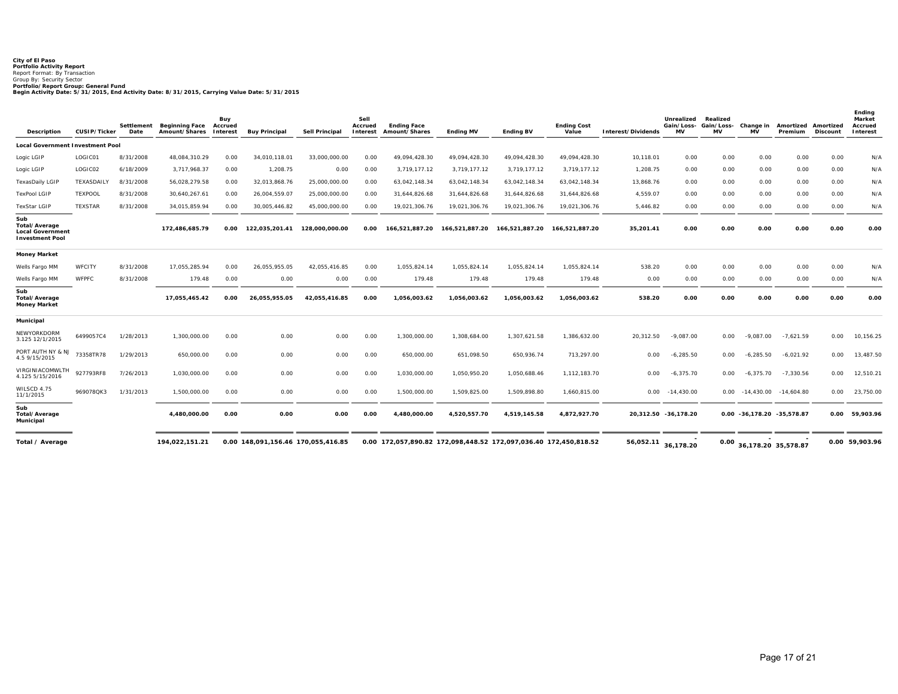City of El Paso<br>Portfolio Activity Report<br>Report Format: By Transaction<br>Portfolio/Report Group: General Fund<br>Portfolio/Report Group: General Fund<br>Begin Activity Date: 5/31/2015, End Activity Date: 8/31/2015, Carrying Value

| Description                                                               | CUSIP/Ticker      | Settlement<br>Date | Beginning Face Accrued<br>Amount/Shares Interest | Buy  | <b>Buy Principal</b>               | Sell Principal | Sell<br>Accrued<br>Interest | <b>Ending Face</b><br>Amount/Shares                              | <b>Ending MV</b> | <b>Ending BV</b> | <b>Ending Cost</b><br>Value | Interest/Dividends  | Unrealized<br>Gain/Loss- Gain/Loss-<br><b>MV</b> | Realized<br>MV | Change in<br>MV            | Amortized<br>Premium | Amortized<br>Discount | Ending<br>Market<br>Accrued<br>Interest |
|---------------------------------------------------------------------------|-------------------|--------------------|--------------------------------------------------|------|------------------------------------|----------------|-----------------------------|------------------------------------------------------------------|------------------|------------------|-----------------------------|---------------------|--------------------------------------------------|----------------|----------------------------|----------------------|-----------------------|-----------------------------------------|
| Local Government Investment Pool                                          |                   |                    |                                                  |      |                                    |                |                             |                                                                  |                  |                  |                             |                     |                                                  |                |                            |                      |                       |                                         |
| Logic LGIP                                                                | LOGIC01           | 8/31/2008          | 48,084,310.29                                    | 0.00 | 34.010.118.01                      | 33.000.000.00  | 0.00                        | 49,094,428.30                                                    | 49,094,428.30    | 49,094,428.30    | 49.094.428.30               | 10,118.01           | 0.00                                             | 0.00           | 0.00                       | 0.00                 | 0.00                  | N/A                                     |
| Logic LGIP                                                                | LOGIC02           | 6/18/2009          | 3,717,968.37                                     | 0.00 | 1,208.75                           | 0.00           | 0.00                        | 3.719.177.12                                                     | 3,719,177.12     | 3.719.177.12     | 3.719.177.12                | 1,208.75            | 0.00                                             | 0.00           | 0.00                       | 0.00                 | 0.00                  | N/A                                     |
| <b>TexasDaily LGIP</b>                                                    | <b>TEXASDAILY</b> | 8/31/2008          | 56,028,279.58                                    | 0.00 | 32,013,868.76                      | 25,000,000.00  | 0.00                        | 63,042,148.34                                                    | 63,042,148.34    | 63,042,148.34    | 63,042,148.34               | 13,868.76           | 0.00                                             | 0.00           | 0.00                       | 0.00                 | 0.00                  | N/A                                     |
| <b>TexPool LGIP</b>                                                       | TEXPOOL           | 8/31/2008          | 30,640,267.61                                    | 0.00 | 26,004,559.07                      | 25,000,000.00  | 0.00                        | 31,644,826.68                                                    | 31,644,826.68    | 31,644,826.68    | 31,644,826.68               | 4,559.07            | 0.00                                             | 0.00           | 0.00                       | 0.00                 | 0.00                  | N/A                                     |
| <b>TexStar LGIP</b>                                                       | <b>TEXSTAR</b>    | 8/31/2008          | 34,015,859.94                                    | 0.00 | 30,005,446.82                      | 45,000,000.00  | 0.00                        | 19,021,306.76                                                    | 19,021,306.76    | 19,021,306.76    | 19,021,306.76               | 5,446.82            | 0.00                                             | 0.00           | 0.00                       | 0.00                 | 0.00                  | N/A                                     |
| Sub<br>Total/Average<br><b>Local Government</b><br><b>Investment Pool</b> |                   |                    | 172,486,685.79                                   | 0.00 | 122,035,201.41                     | 128,000,000.00 | 0.00                        | 166,521,887.20                                                   | 166.521.887.20   | 166,521,887.20   | 166,521,887.20              | 35,201.41           | 0.00                                             | 0.00           | 0.00                       | 0.00                 | 0.00                  | 0.00                                    |
| <b>Money Market</b>                                                       |                   |                    |                                                  |      |                                    |                |                             |                                                                  |                  |                  |                             |                     |                                                  |                |                            |                      |                       |                                         |
| Wells Fargo MM                                                            | WFCITY            | 8/31/2008          | 17,055,285.94                                    | 0.00 | 26,055,955.05                      | 42,055,416.85  | 0.00                        | 1,055,824.14                                                     | 1,055,824.14     | 1,055,824.14     | 1,055,824.14                | 538.20              | 0.00                                             | 0.00           | 0.00                       | 0.00                 | 0.00                  | N/A                                     |
| Wells Fargo MM                                                            | WFPFC             | 8/31/2008          | 179.48                                           | 0.00 | 0.00                               | 0.00           | 0.00                        | 179.48                                                           | 179.48           | 179.48           | 179.48                      | 0.00                | 0.00                                             | 0.00           | 0.00                       | 0.00                 | 0.00                  | N/A                                     |
| Sub<br>Total/Average<br>Money Market                                      |                   |                    | 17,055,465.42                                    | 0.00 | 26,055,955.05                      | 42,055,416.85  | 0.00                        | 1,056,003.62                                                     | 1,056,003.62     | 1,056,003.62     | 1,056,003.62                | 538.20              | 0.00                                             | 0.00           | 0.00                       | 0.00                 | 0.00                  | 0.00                                    |
| Municipal                                                                 |                   |                    |                                                  |      |                                    |                |                             |                                                                  |                  |                  |                             |                     |                                                  |                |                            |                      |                       |                                         |
| NEWYORKDORM<br>3.125 12/1/2015                                            | 6499057C4         | 1/28/2013          | 1,300,000.00                                     | 0.00 | 0.00                               | 0.00           | 0.00                        | 1,300,000.00                                                     | 1,308,684.00     | 1,307,621.58     | 1,386,632.00                | 20,312.50           | $-9,087.00$                                      | 0.00           | $-9,087.00$                | $-7,621.59$          | 0.00                  | 10,156.25                               |
| PORT AUTH NY & NJ<br>4.5 9/15/2015                                        | 73358TR78         | 1/29/2013          | 650,000.00                                       | 0.00 | 0.00                               | 0.00           | 0.00                        | 650,000.00                                                       | 651,098.50       | 650,936.74       | 713,297.00                  | 0.00                | $-6,285.50$                                      | 0.00           | $-6,285.50$                | $-6,021.92$          | 0.00                  | 13,487.50                               |
| VIRGINIACOMWLTH<br>4.125 5/15/2016                                        | 927793RF8         | 7/26/2013          | 1,030,000.00                                     | 0.00 | 0.00                               | 0.00           | 0.00                        | 1,030,000.00                                                     | 1,050,950.20     | 1,050,688.46     | 1,112,183.70                | 0.00                | $-6,375.70$                                      | 0.00           | $-6.375.70$                | $-7,330.56$          | 0.00                  | 12,510.21                               |
| WILSCD 4.75<br>11/1/2015                                                  | 969078QK3         | 1/31/2013          | 1,500,000.00                                     | 0.00 | 0.00                               | 0.00           | 0.00                        | 1,500,000.00                                                     | 1,509,825.00     | 1,509,898.80     | 1,660,815.00                | 0.00                | $-14,430.00$                                     | 0.00           | $-14,430.00$               | $-14,604.80$         | 0.00                  | 23,750.00                               |
| Sub<br>Total/Average<br>Municipal                                         |                   |                    | 4,480,000.00                                     | 0.00 | 0.00                               | 0.00           | 0.00                        | 4,480,000.00                                                     | 4,520,557.70     | 4,519,145.58     | 4,872,927.70                |                     | 20,312.50 -36,178.20                             |                | 0.00 -36,178.20 -35,578.87 |                      |                       | 0.00 59,903.96                          |
| Total / Average                                                           |                   |                    | 194,022,151.21                                   |      | 0.00 148,091,156.46 170,055,416.85 |                |                             | 0.00 172,057,890.82 172,098,448.52 172,097,036.40 172,450,818.52 |                  |                  |                             | 56,052.11 36,178.20 |                                                  | 0.00           | 36,178.20 35,578.87        |                      |                       | 0.00 59,903.96                          |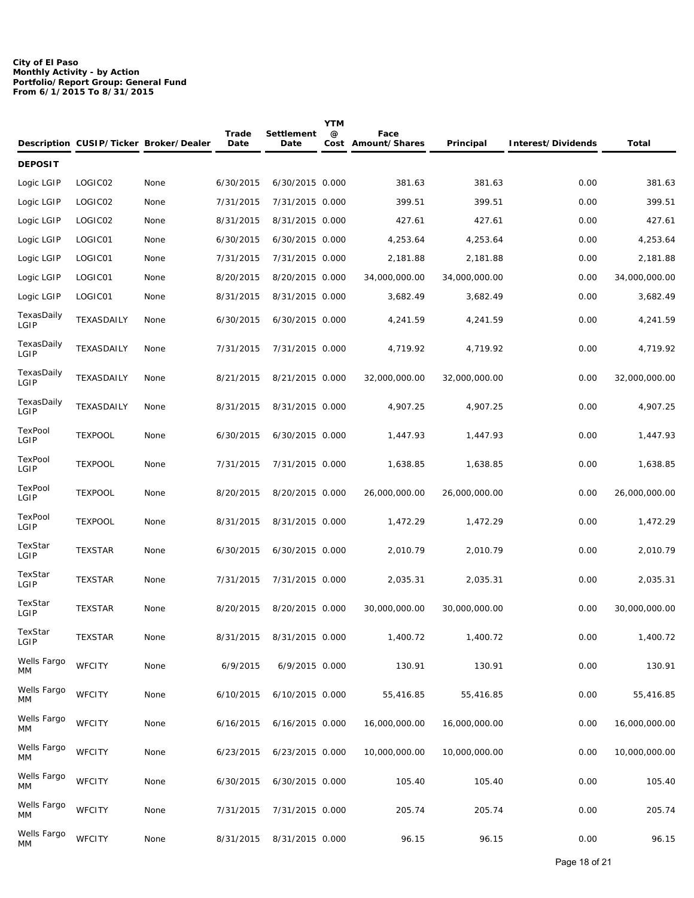#### **City of El Paso Monthly Activity - by Action Portfolio/Report Group: General Fund From 6/1/2015 To 8/31/2015**

|                    |                | Description CUSIP/Ticker Broker/Dealer | Trade<br>Date | Settlement<br>Date | <b>YTM</b><br>@ | Face<br>Cost Amount/Shares | Principal     | Interest/Dividends | Total         |
|--------------------|----------------|----------------------------------------|---------------|--------------------|-----------------|----------------------------|---------------|--------------------|---------------|
| <b>DEPOSIT</b>     |                |                                        |               |                    |                 |                            |               |                    |               |
| Logic LGIP         | LOGIC02        | None                                   | 6/30/2015     | 6/30/2015 0.000    |                 | 381.63                     | 381.63        | 0.00               | 381.63        |
| Logic LGIP         | LOGIC02        | None                                   | 7/31/2015     | 7/31/2015 0.000    |                 | 399.51                     | 399.51        | 0.00               | 399.51        |
| Logic LGIP         | LOGIC02        | None                                   | 8/31/2015     | 8/31/2015 0.000    |                 | 427.61                     | 427.61        | 0.00               | 427.61        |
| Logic LGIP         | LOGIC01        | None                                   | 6/30/2015     | 6/30/2015 0.000    |                 | 4,253.64                   | 4,253.64      | 0.00               | 4,253.64      |
| Logic LGIP         | LOGIC01        | None                                   | 7/31/2015     | 7/31/2015 0.000    |                 | 2,181.88                   | 2,181.88      | 0.00               | 2,181.88      |
| Logic LGIP         | LOGIC01        | None                                   | 8/20/2015     | 8/20/2015 0.000    |                 | 34,000,000.00              | 34,000,000.00 | 0.00               | 34,000,000.00 |
| Logic LGIP         | LOGIC01        | None                                   | 8/31/2015     | 8/31/2015 0.000    |                 | 3,682.49                   | 3,682.49      | 0.00               | 3,682.49      |
| TexasDaily<br>LGIP | TEXASDAILY     | None                                   | 6/30/2015     | 6/30/2015 0.000    |                 | 4,241.59                   | 4,241.59      | 0.00               | 4,241.59      |
| TexasDaily<br>LGIP | TEXASDAILY     | None                                   | 7/31/2015     | 7/31/2015 0.000    |                 | 4,719.92                   | 4,719.92      | 0.00               | 4,719.92      |
| TexasDaily<br>LGIP | TEXASDAILY     | None                                   | 8/21/2015     | 8/21/2015 0.000    |                 | 32,000,000.00              | 32,000,000.00 | 0.00               | 32,000,000.00 |
| TexasDaily<br>LGIP | TEXASDAILY     | None                                   | 8/31/2015     | 8/31/2015 0.000    |                 | 4,907.25                   | 4,907.25      | 0.00               | 4,907.25      |
| TexPool<br>LGIP    | <b>TEXPOOL</b> | None                                   | 6/30/2015     | 6/30/2015 0.000    |                 | 1,447.93                   | 1,447.93      | 0.00               | 1,447.93      |
| TexPool<br>LGIP    | <b>TEXPOOL</b> | None                                   | 7/31/2015     | 7/31/2015 0.000    |                 | 1,638.85                   | 1,638.85      | 0.00               | 1,638.85      |
| TexPool<br>LGIP    | <b>TEXPOOL</b> | None                                   | 8/20/2015     | 8/20/2015 0.000    |                 | 26,000,000.00              | 26,000,000.00 | 0.00               | 26,000,000.00 |
| TexPool<br>LGIP    | <b>TEXPOOL</b> | None                                   | 8/31/2015     | 8/31/2015 0.000    |                 | 1,472.29                   | 1,472.29      | 0.00               | 1,472.29      |
| TexStar<br>LGIP    | <b>TEXSTAR</b> | None                                   | 6/30/2015     | 6/30/2015 0.000    |                 | 2,010.79                   | 2,010.79      | 0.00               | 2,010.79      |
| TexStar<br>LGIP    | <b>TEXSTAR</b> | None                                   | 7/31/2015     | 7/31/2015 0.000    |                 | 2,035.31                   | 2,035.31      | 0.00               | 2,035.31      |
| TexStar<br>LGIP    | <b>TEXSTAR</b> | None                                   | 8/20/2015     | 8/20/2015 0.000    |                 | 30,000,000.00              | 30,000,000.00 | 0.00               | 30,000,000.00 |
| TexStar<br>LGIP    | <b>TEXSTAR</b> | None                                   | 8/31/2015     | 8/31/2015 0.000    |                 | 1,400.72                   | 1,400.72      | 0.00               | 1,400.72      |
| Wells Fargo<br>МM  | <b>WFCITY</b>  | None                                   | 6/9/2015      | 6/9/2015 0.000     |                 | 130.91                     | 130.91        | 0.00               | 130.91        |
| Wells Fargo<br>МM  | <b>WFCITY</b>  | None                                   | 6/10/2015     | 6/10/2015 0.000    |                 | 55,416.85                  | 55,416.85     | 0.00               | 55,416.85     |
| Wells Fargo<br>МM  | <b>WFCITY</b>  | None                                   | 6/16/2015     | 6/16/2015 0.000    |                 | 16,000,000.00              | 16,000,000.00 | 0.00               | 16,000,000.00 |
| Wells Fargo<br>MM  | <b>WFCITY</b>  | None                                   | 6/23/2015     | 6/23/2015 0.000    |                 | 10,000,000.00              | 10,000,000.00 | 0.00               | 10,000,000.00 |
| Wells Fargo<br>МM  | <b>WFCITY</b>  | None                                   | 6/30/2015     | 6/30/2015 0.000    |                 | 105.40                     | 105.40        | 0.00               | 105.40        |
| Wells Fargo<br>МM  | <b>WFCITY</b>  | None                                   | 7/31/2015     | 7/31/2015 0.000    |                 | 205.74                     | 205.74        | 0.00               | 205.74        |
| Wells Fargo<br>МM  | <b>WFCITY</b>  | None                                   | 8/31/2015     | 8/31/2015 0.000    |                 | 96.15                      | 96.15         | 0.00               | 96.15         |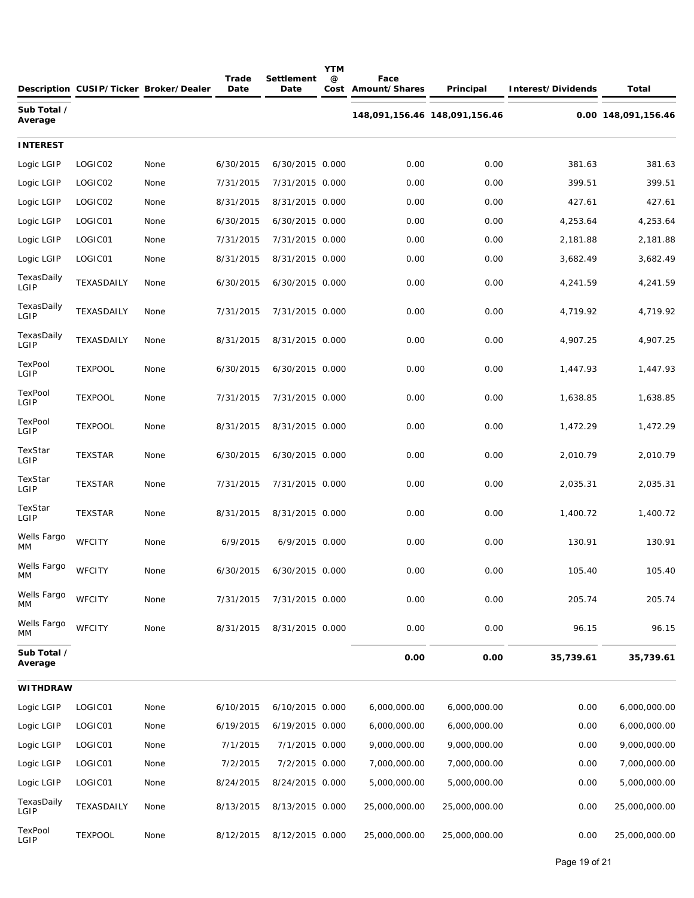|                        |                | Description CUSIP/Ticker Broker/Dealer | Trade<br>Date | Settlement<br>Date | <b>YTM</b><br>@ | Face<br>Cost Amount/Shares    | Principal     | Interest/Dividends | Total               |
|------------------------|----------------|----------------------------------------|---------------|--------------------|-----------------|-------------------------------|---------------|--------------------|---------------------|
| Sub Total /<br>Average |                |                                        |               |                    |                 | 148,091,156.46 148,091,156.46 |               |                    | 0.00 148,091,156.46 |
| INTEREST               |                |                                        |               |                    |                 |                               |               |                    |                     |
| Logic LGIP             | LOGIC02        | None                                   | 6/30/2015     | 6/30/2015 0.000    |                 | 0.00                          | 0.00          | 381.63             | 381.63              |
| Logic LGIP             | LOGIC02        | None                                   | 7/31/2015     | 7/31/2015 0.000    |                 | 0.00                          | 0.00          | 399.51             | 399.51              |
| Logic LGIP             | LOGIC02        | None                                   | 8/31/2015     | 8/31/2015 0.000    |                 | 0.00                          | 0.00          | 427.61             | 427.61              |
| Logic LGIP             | LOGIC01        | None                                   | 6/30/2015     | 6/30/2015 0.000    |                 | 0.00                          | 0.00          | 4,253.64           | 4,253.64            |
| Logic LGIP             | LOGIC01        | None                                   | 7/31/2015     | 7/31/2015 0.000    |                 | 0.00                          | 0.00          | 2,181.88           | 2,181.88            |
| Logic LGIP             | LOGIC01        | None                                   | 8/31/2015     | 8/31/2015 0.000    |                 | 0.00                          | 0.00          | 3,682.49           | 3,682.49            |
| TexasDaily<br>LGIP     | TEXASDAILY     | None                                   | 6/30/2015     | 6/30/2015 0.000    |                 | 0.00                          | 0.00          | 4,241.59           | 4,241.59            |
| TexasDaily<br>LGIP     | TEXASDAILY     | None                                   | 7/31/2015     | 7/31/2015 0.000    |                 | 0.00                          | 0.00          | 4,719.92           | 4,719.92            |
| TexasDaily<br>LGIP     | TEXASDAILY     | None                                   | 8/31/2015     | 8/31/2015 0.000    |                 | 0.00                          | 0.00          | 4,907.25           | 4,907.25            |
| TexPool<br>LGIP        | <b>TEXPOOL</b> | None                                   | 6/30/2015     | 6/30/2015 0.000    |                 | 0.00                          | 0.00          | 1,447.93           | 1,447.93            |
| TexPool<br>LGIP        | <b>TEXPOOL</b> | None                                   | 7/31/2015     | 7/31/2015 0.000    |                 | 0.00                          | 0.00          | 1,638.85           | 1,638.85            |
| TexPool<br>LGIP        | <b>TEXPOOL</b> | None                                   | 8/31/2015     | 8/31/2015 0.000    |                 | 0.00                          | 0.00          | 1,472.29           | 1,472.29            |
| TexStar<br>LGIP        | <b>TEXSTAR</b> | None                                   | 6/30/2015     | 6/30/2015 0.000    |                 | 0.00                          | 0.00          | 2,010.79           | 2,010.79            |
| TexStar<br>LGIP        | <b>TEXSTAR</b> | None                                   | 7/31/2015     | 7/31/2015 0.000    |                 | 0.00                          | 0.00          | 2,035.31           | 2,035.31            |
| TexStar<br>LGIP        | <b>TEXSTAR</b> | None                                   | 8/31/2015     | 8/31/2015 0.000    |                 | 0.00                          | 0.00          | 1,400.72           | 1,400.72            |
| Wells Fargo<br>MМ      | <b>WFCITY</b>  | None                                   | 6/9/2015      | 6/9/2015 0.000     |                 | 0.00                          | 0.00          | 130.91             | 130.91              |
| Wells Fargo<br>MM      | <b>WFCITY</b>  | None                                   | 6/30/2015     | 6/30/2015 0.000    |                 | 0.00                          | 0.00          | 105.40             | 105.40              |
| Wells Fargo<br>MМ      | <b>WFCITY</b>  | None                                   | 7/31/2015     | 7/31/2015 0.000    |                 | 0.00                          | 0.00          | 205.74             | 205.74              |
| Wells Fargo<br>MМ      | <b>WFCITY</b>  | None                                   | 8/31/2015     | 8/31/2015 0.000    |                 | 0.00                          | 0.00          | 96.15              | 96.15               |
| Sub Total /<br>Average |                |                                        |               |                    |                 | 0.00                          | 0.00          | 35,739.61          | 35,739.61           |
| WITHDRAW               |                |                                        |               |                    |                 |                               |               |                    |                     |
| Logic LGIP             | LOGIC01        | None                                   | 6/10/2015     | 6/10/2015 0.000    |                 | 6,000,000.00                  | 6,000,000.00  | 0.00               | 6,000,000.00        |
| Logic LGIP             | LOGIC01        | None                                   | 6/19/2015     | 6/19/2015 0.000    |                 | 6,000,000.00                  | 6,000,000.00  | 0.00               | 6,000,000.00        |
| Logic LGIP             | LOGIC01        | None                                   | 7/1/2015      | 7/1/2015 0.000     |                 | 9,000,000.00                  | 9,000,000.00  | 0.00               | 9,000,000.00        |
| Logic LGIP             | LOGIC01        | None                                   | 7/2/2015      | 7/2/2015 0.000     |                 | 7,000,000.00                  | 7,000,000.00  | 0.00               | 7,000,000.00        |
| Logic LGIP             | LOGIC01        | None                                   | 8/24/2015     | 8/24/2015 0.000    |                 | 5,000,000.00                  | 5,000,000.00  | 0.00               | 5,000,000.00        |
| TexasDaily<br>LGIP     | TEXASDAILY     | None                                   | 8/13/2015     | 8/13/2015 0.000    |                 | 25,000,000.00                 | 25,000,000.00 | 0.00               | 25,000,000.00       |
| TexPool<br>LGIP        | <b>TEXPOOL</b> | None                                   | 8/12/2015     | 8/12/2015 0.000    |                 | 25,000,000.00                 | 25,000,000.00 | 0.00               | 25,000,000.00       |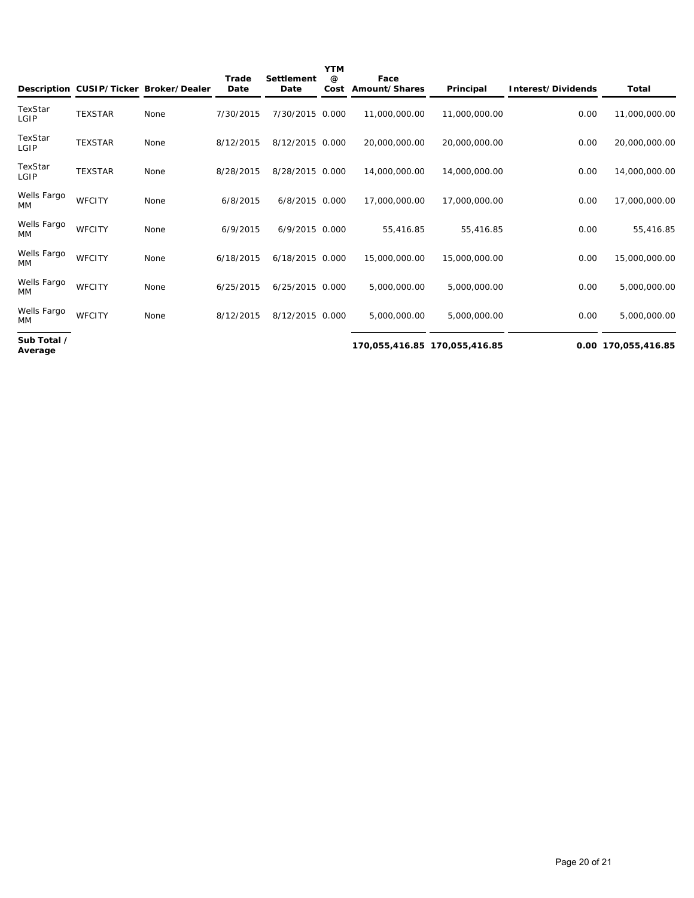|                          |                | Description CUSIP/Ticker Broker/Dealer | Trade<br>Date | Settlement<br>Date | <b>YTM</b><br>$\omega$<br>Cost | Face<br>Amount/Shares         | Principal     | Interest/Dividends | Total               |
|--------------------------|----------------|----------------------------------------|---------------|--------------------|--------------------------------|-------------------------------|---------------|--------------------|---------------------|
| TexStar<br>LGIP          | <b>TEXSTAR</b> | None                                   | 7/30/2015     | 7/30/2015 0.000    |                                | 11,000,000.00                 | 11,000,000.00 | 0.00               | 11,000,000.00       |
| TexStar<br>LGIP          | <b>TEXSTAR</b> | None                                   | 8/12/2015     | 8/12/2015 0.000    |                                | 20,000,000.00                 | 20,000,000.00 | 0.00               | 20,000,000.00       |
| TexStar<br>LGIP          | <b>TEXSTAR</b> | None                                   | 8/28/2015     | 8/28/2015 0.000    |                                | 14,000,000.00                 | 14,000,000.00 | 0.00               | 14,000,000.00       |
| Wells Fargo<br><b>MM</b> | <b>WFCITY</b>  | None                                   | 6/8/2015      | 6/8/2015 0.000     |                                | 17,000,000.00                 | 17,000,000.00 | 0.00               | 17,000,000.00       |
| Wells Fargo<br><b>MM</b> | <b>WFCITY</b>  | None                                   | 6/9/2015      | 6/9/2015 0.000     |                                | 55.416.85                     | 55.416.85     | 0.00               | 55.416.85           |
| Wells Fargo<br><b>MM</b> | <b>WFCITY</b>  | None                                   | 6/18/2015     | 6/18/2015 0.000    |                                | 15,000,000.00                 | 15,000,000.00 | 0.00               | 15,000,000.00       |
| Wells Fargo<br><b>MM</b> | <b>WFCITY</b>  | None                                   | 6/25/2015     | 6/25/2015 0.000    |                                | 5,000,000.00                  | 5,000,000.00  | 0.00               | 5,000,000.00        |
| Wells Fargo<br>МM        | <b>WFCITY</b>  | None                                   | 8/12/2015     | 8/12/2015 0.000    |                                | 5,000,000.00                  | 5,000,000.00  | 0.00               | 5,000,000.00        |
| Sub Total /<br>Average   |                |                                        |               |                    |                                | 170,055,416.85 170,055,416.85 |               |                    | 0.00 170,055,416.85 |